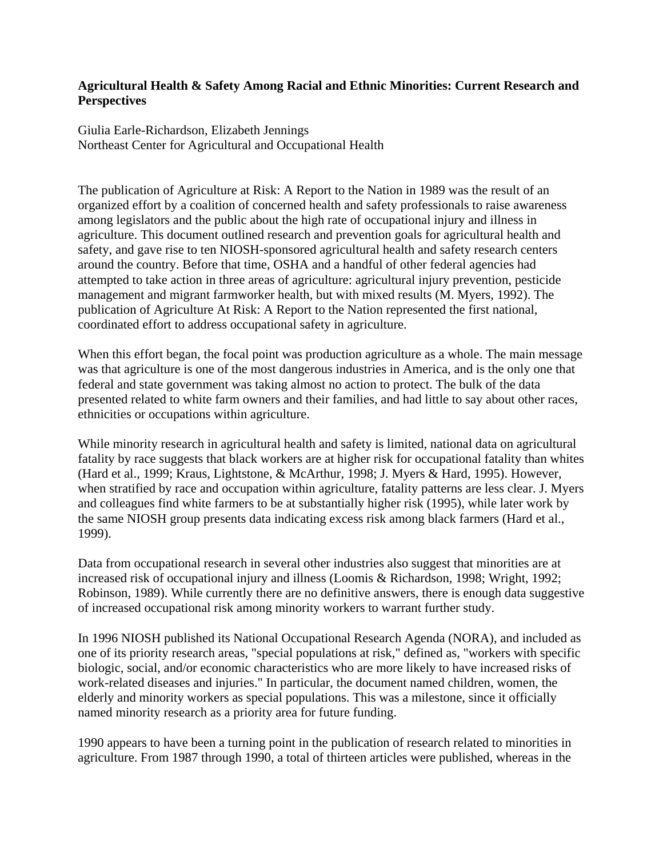## **Agricultural Health & Safety Among Racial and Ethnic Minorities: Current Research and Perspectives**

Giulia Earle-Richardson, Elizabeth Jennings Northeast Center for Agricultural and Occupational Health

The publication of Agriculture at Risk: A Report to the Nation in 1989 was the result of an organized effort by a coalition of concerned health and safety professionals to raise awareness among legislators and the public about the high rate of occupational injury and illness in agriculture. This document outlined research and prevention goals for agricultural health and safety, and gave rise to ten NIOSH-sponsored agricultural health and safety research centers around the country. Before that time, OSHA and a handful of other federal agencies had attempted to take action in three areas of agriculture: agricultural injury prevention, pesticide management and migrant farmworker health, but with mixed results (M. Myers, 1992). The publication of Agriculture At Risk: A Report to the Nation represented the first national, coordinated effort to address occupational safety in agriculture.

When this effort began, the focal point was production agriculture as a whole. The main message was that agriculture is one of the most dangerous industries in America, and is the only one that federal and state government was taking almost no action to protect. The bulk of the data presented related to white farm owners and their families, and had little to say about other races, ethnicities or occupations within agriculture.

While minority research in agricultural health and safety is limited, national data on agricultural fatality by race suggests that black workers are at higher risk for occupational fatality than whites (Hard et al., 1999; Kraus, Lightstone, & McArthur, 1998; J. Myers & Hard, 1995). However, when stratified by race and occupation within agriculture, fatality patterns are less clear. J. Myers and colleagues find white farmers to be at substantially higher risk (1995), while later work by the same NIOSH group presents data indicating excess risk among black farmers (Hard et al., 1999).

Data from occupational research in several other industries also suggest that minorities are at increased risk of occupational injury and illness (Loomis & Richardson, 1998; Wright, 1992; Robinson, 1989). While currently there are no definitive answers, there is enough data suggestive of increased occupational risk among minority workers to warrant further study.

In 1996 NIOSH published its National Occupational Research Agenda (NORA), and included as one of its priority research areas, "special populations at risk," defined as, "workers with specific biologic, social, and/or economic characteristics who are more likely to have increased risks of work-related diseases and injuries." In particular, the document named children, women, the elderly and minority workers as special populations. This was a milestone, since it officially named minority research as a priority area for future funding.

1990 appears to have been a turning point in the publication of research related to minorities in agriculture. From 1987 through 1990, a total of thirteen articles were published, whereas in the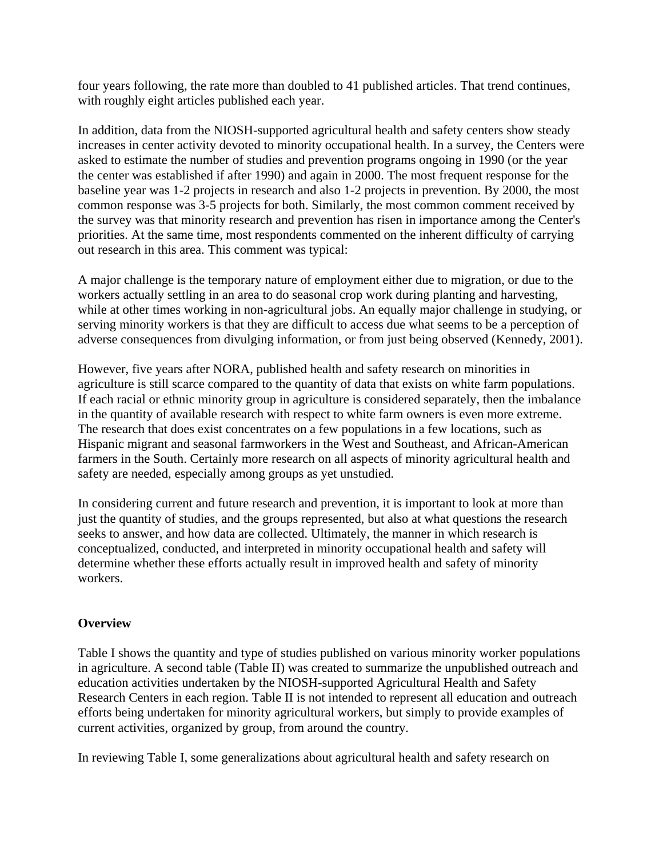four years following, the rate more than doubled to 41 published articles. That trend continues, with roughly eight articles published each year.

In addition, data from the NIOSH-supported agricultural health and safety centers show steady increases in center activity devoted to minority occupational health. In a survey, the Centers were asked to estimate the number of studies and prevention programs ongoing in 1990 (or the year the center was established if after 1990) and again in 2000. The most frequent response for the baseline year was 1-2 projects in research and also 1-2 projects in prevention. By 2000, the most common response was 3-5 projects for both. Similarly, the most common comment received by the survey was that minority research and prevention has risen in importance among the Center's priorities. At the same time, most respondents commented on the inherent difficulty of carrying out research in this area. This comment was typical:

A major challenge is the temporary nature of employment either due to migration, or due to the workers actually settling in an area to do seasonal crop work during planting and harvesting, while at other times working in non-agricultural jobs. An equally major challenge in studying, or serving minority workers is that they are difficult to access due what seems to be a perception of adverse consequences from divulging information, or from just being observed (Kennedy, 2001).

However, five years after NORA, published health and safety research on minorities in agriculture is still scarce compared to the quantity of data that exists on white farm populations. If each racial or ethnic minority group in agriculture is considered separately, then the imbalance in the quantity of available research with respect to white farm owners is even more extreme. The research that does exist concentrates on a few populations in a few locations, such as Hispanic migrant and seasonal farmworkers in the West and Southeast, and African-American farmers in the South. Certainly more research on all aspects of minority agricultural health and safety are needed, especially among groups as yet unstudied.

In considering current and future research and prevention, it is important to look at more than just the quantity of studies, and the groups represented, but also at what questions the research seeks to answer, and how data are collected. Ultimately, the manner in which research is conceptualized, conducted, and interpreted in minority occupational health and safety will determine whether these efforts actually result in improved health and safety of minority workers.

# **Overview**

Table I shows the quantity and type of studies published on various minority worker populations in agriculture. A second table (Table II) was created to summarize the unpublished outreach and education activities undertaken by the NIOSH-supported Agricultural Health and Safety Research Centers in each region. Table II is not intended to represent all education and outreach efforts being undertaken for minority agricultural workers, but simply to provide examples of current activities, organized by group, from around the country.

In reviewing Table I, some generalizations about agricultural health and safety research on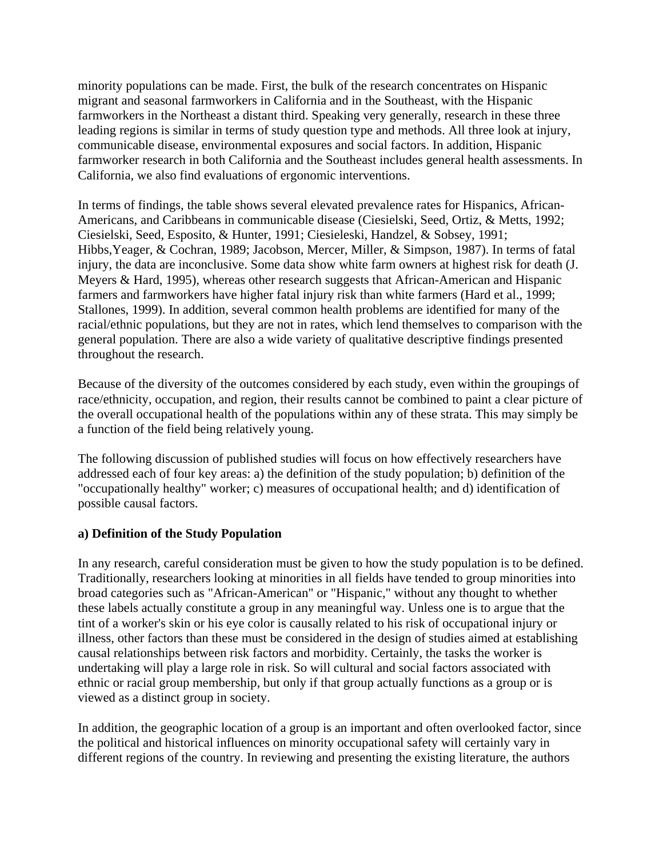minority populations can be made. First, the bulk of the research concentrates on Hispanic migrant and seasonal farmworkers in California and in the Southeast, with the Hispanic farmworkers in the Northeast a distant third. Speaking very generally, research in these three leading regions is similar in terms of study question type and methods. All three look at injury, communicable disease, environmental exposures and social factors. In addition, Hispanic farmworker research in both California and the Southeast includes general health assessments. In California, we also find evaluations of ergonomic interventions.

In terms of findings, the table shows several elevated prevalence rates for Hispanics, African-Americans, and Caribbeans in communicable disease (Ciesielski, Seed, Ortiz, & Metts, 1992; Ciesielski, Seed, Esposito, & Hunter, 1991; Ciesieleski, Handzel, & Sobsey, 1991; Hibbs,Yeager, & Cochran, 1989; Jacobson, Mercer, Miller, & Simpson, 1987). In terms of fatal injury, the data are inconclusive. Some data show white farm owners at highest risk for death (J. Meyers & Hard, 1995), whereas other research suggests that African-American and Hispanic farmers and farmworkers have higher fatal injury risk than white farmers (Hard et al., 1999; Stallones, 1999). In addition, several common health problems are identified for many of the racial/ethnic populations, but they are not in rates, which lend themselves to comparison with the general population. There are also a wide variety of qualitative descriptive findings presented throughout the research.

Because of the diversity of the outcomes considered by each study, even within the groupings of race/ethnicity, occupation, and region, their results cannot be combined to paint a clear picture of the overall occupational health of the populations within any of these strata. This may simply be a function of the field being relatively young.

The following discussion of published studies will focus on how effectively researchers have addressed each of four key areas: a) the definition of the study population; b) definition of the "occupationally healthy" worker; c) measures of occupational health; and d) identification of possible causal factors.

### **a) Definition of the Study Population**

In any research, careful consideration must be given to how the study population is to be defined. Traditionally, researchers looking at minorities in all fields have tended to group minorities into broad categories such as "African-American" or "Hispanic," without any thought to whether these labels actually constitute a group in any meaningful way. Unless one is to argue that the tint of a worker's skin or his eye color is causally related to his risk of occupational injury or illness, other factors than these must be considered in the design of studies aimed at establishing causal relationships between risk factors and morbidity. Certainly, the tasks the worker is undertaking will play a large role in risk. So will cultural and social factors associated with ethnic or racial group membership, but only if that group actually functions as a group or is viewed as a distinct group in society.

In addition, the geographic location of a group is an important and often overlooked factor, since the political and historical influences on minority occupational safety will certainly vary in different regions of the country. In reviewing and presenting the existing literature, the authors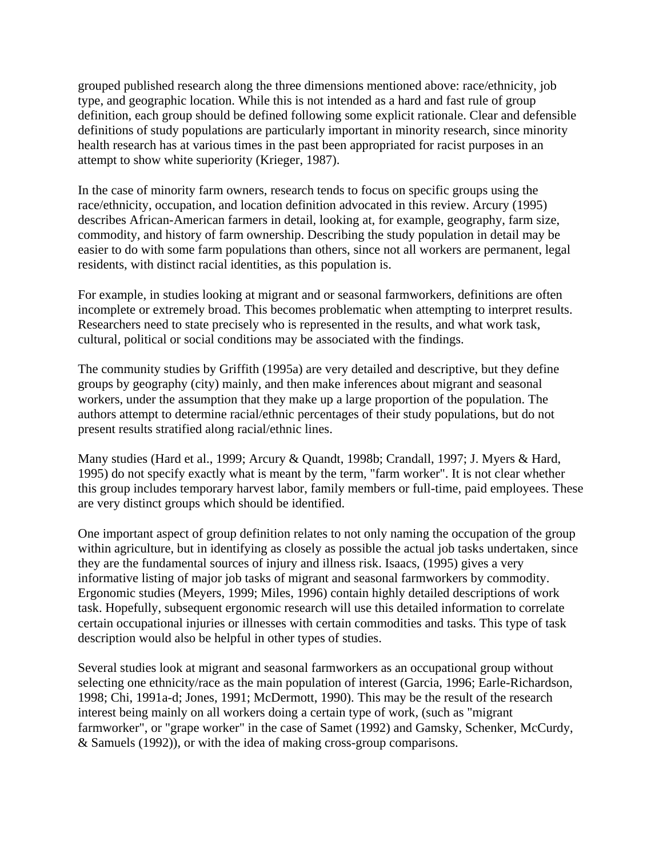grouped published research along the three dimensions mentioned above: race/ethnicity, job type, and geographic location. While this is not intended as a hard and fast rule of group definition, each group should be defined following some explicit rationale. Clear and defensible definitions of study populations are particularly important in minority research, since minority health research has at various times in the past been appropriated for racist purposes in an attempt to show white superiority (Krieger, 1987).

In the case of minority farm owners, research tends to focus on specific groups using the race/ethnicity, occupation, and location definition advocated in this review. Arcury (1995) describes African-American farmers in detail, looking at, for example, geography, farm size, commodity, and history of farm ownership. Describing the study population in detail may be easier to do with some farm populations than others, since not all workers are permanent, legal residents, with distinct racial identities, as this population is.

For example, in studies looking at migrant and or seasonal farmworkers, definitions are often incomplete or extremely broad. This becomes problematic when attempting to interpret results. Researchers need to state precisely who is represented in the results, and what work task, cultural, political or social conditions may be associated with the findings.

The community studies by Griffith (1995a) are very detailed and descriptive, but they define groups by geography (city) mainly, and then make inferences about migrant and seasonal workers, under the assumption that they make up a large proportion of the population. The authors attempt to determine racial/ethnic percentages of their study populations, but do not present results stratified along racial/ethnic lines.

Many studies (Hard et al., 1999; Arcury & Quandt, 1998b; Crandall, 1997; J. Myers & Hard, 1995) do not specify exactly what is meant by the term, "farm worker". It is not clear whether this group includes temporary harvest labor, family members or full-time, paid employees. These are very distinct groups which should be identified.

One important aspect of group definition relates to not only naming the occupation of the group within agriculture, but in identifying as closely as possible the actual job tasks undertaken, since they are the fundamental sources of injury and illness risk. Isaacs, (1995) gives a very informative listing of major job tasks of migrant and seasonal farmworkers by commodity. Ergonomic studies (Meyers, 1999; Miles, 1996) contain highly detailed descriptions of work task. Hopefully, subsequent ergonomic research will use this detailed information to correlate certain occupational injuries or illnesses with certain commodities and tasks. This type of task description would also be helpful in other types of studies.

Several studies look at migrant and seasonal farmworkers as an occupational group without selecting one ethnicity/race as the main population of interest (Garcia, 1996; Earle-Richardson, 1998; Chi, 1991a-d; Jones, 1991; McDermott, 1990). This may be the result of the research interest being mainly on all workers doing a certain type of work, (such as "migrant farmworker", or "grape worker" in the case of Samet (1992) and Gamsky, Schenker, McCurdy, & Samuels (1992)), or with the idea of making cross-group comparisons.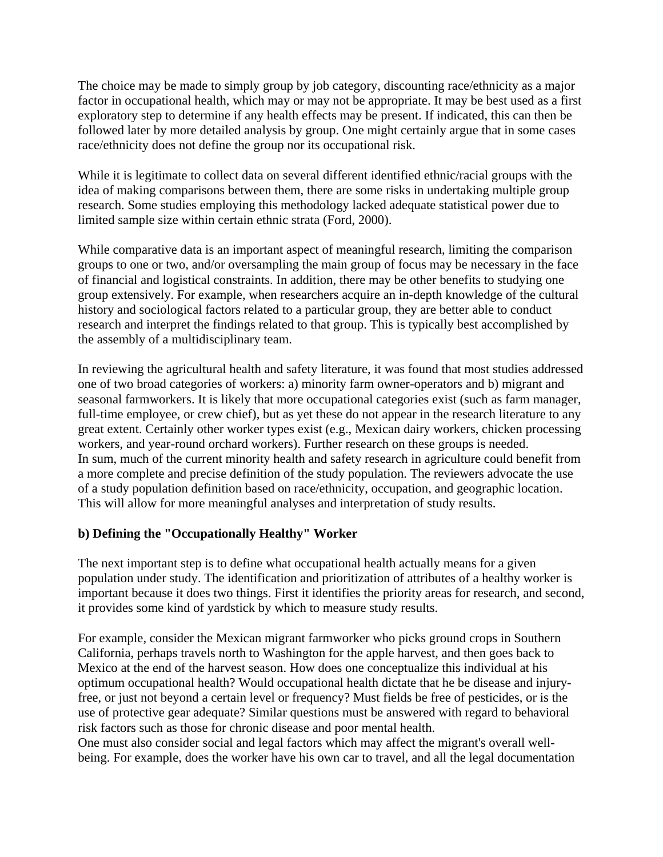The choice may be made to simply group by job category, discounting race/ethnicity as a major factor in occupational health, which may or may not be appropriate. It may be best used as a first exploratory step to determine if any health effects may be present. If indicated, this can then be followed later by more detailed analysis by group. One might certainly argue that in some cases race/ethnicity does not define the group nor its occupational risk.

While it is legitimate to collect data on several different identified ethnic/racial groups with the idea of making comparisons between them, there are some risks in undertaking multiple group research. Some studies employing this methodology lacked adequate statistical power due to limited sample size within certain ethnic strata (Ford, 2000).

While comparative data is an important aspect of meaningful research, limiting the comparison groups to one or two, and/or oversampling the main group of focus may be necessary in the face of financial and logistical constraints. In addition, there may be other benefits to studying one group extensively. For example, when researchers acquire an in-depth knowledge of the cultural history and sociological factors related to a particular group, they are better able to conduct research and interpret the findings related to that group. This is typically best accomplished by the assembly of a multidisciplinary team.

In reviewing the agricultural health and safety literature, it was found that most studies addressed one of two broad categories of workers: a) minority farm owner-operators and b) migrant and seasonal farmworkers. It is likely that more occupational categories exist (such as farm manager, full-time employee, or crew chief), but as yet these do not appear in the research literature to any great extent. Certainly other worker types exist (e.g., Mexican dairy workers, chicken processing workers, and year-round orchard workers). Further research on these groups is needed. In sum, much of the current minority health and safety research in agriculture could benefit from a more complete and precise definition of the study population. The reviewers advocate the use of a study population definition based on race/ethnicity, occupation, and geographic location. This will allow for more meaningful analyses and interpretation of study results.

# **b) Defining the "Occupationally Healthy" Worker**

The next important step is to define what occupational health actually means for a given population under study. The identification and prioritization of attributes of a healthy worker is important because it does two things. First it identifies the priority areas for research, and second, it provides some kind of yardstick by which to measure study results.

For example, consider the Mexican migrant farmworker who picks ground crops in Southern California, perhaps travels north to Washington for the apple harvest, and then goes back to Mexico at the end of the harvest season. How does one conceptualize this individual at his optimum occupational health? Would occupational health dictate that he be disease and injuryfree, or just not beyond a certain level or frequency? Must fields be free of pesticides, or is the use of protective gear adequate? Similar questions must be answered with regard to behavioral risk factors such as those for chronic disease and poor mental health.

One must also consider social and legal factors which may affect the migrant's overall wellbeing. For example, does the worker have his own car to travel, and all the legal documentation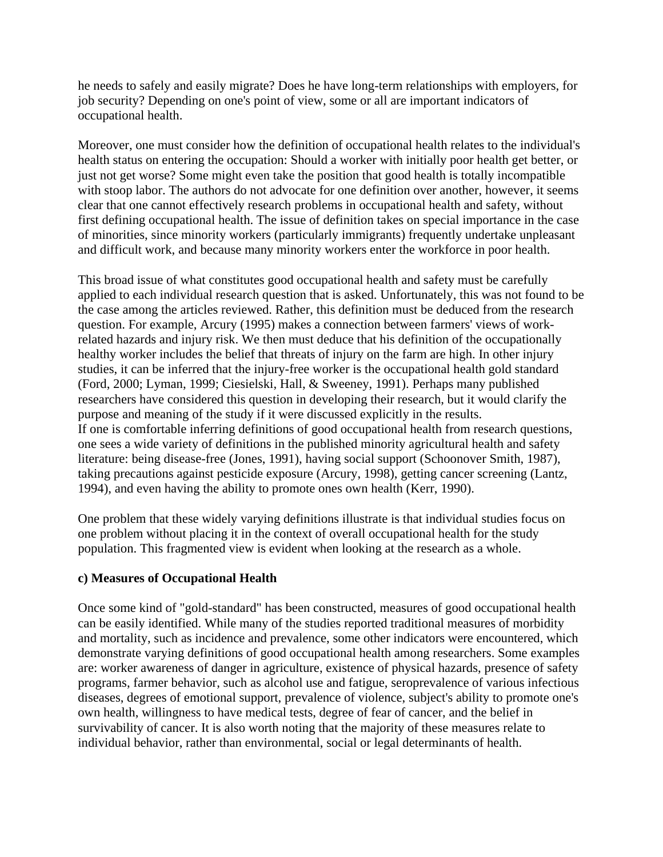he needs to safely and easily migrate? Does he have long-term relationships with employers, for job security? Depending on one's point of view, some or all are important indicators of occupational health.

Moreover, one must consider how the definition of occupational health relates to the individual's health status on entering the occupation: Should a worker with initially poor health get better, or just not get worse? Some might even take the position that good health is totally incompatible with stoop labor. The authors do not advocate for one definition over another, however, it seems clear that one cannot effectively research problems in occupational health and safety, without first defining occupational health. The issue of definition takes on special importance in the case of minorities, since minority workers (particularly immigrants) frequently undertake unpleasant and difficult work, and because many minority workers enter the workforce in poor health.

This broad issue of what constitutes good occupational health and safety must be carefully applied to each individual research question that is asked. Unfortunately, this was not found to be the case among the articles reviewed. Rather, this definition must be deduced from the research question. For example, Arcury (1995) makes a connection between farmers' views of workrelated hazards and injury risk. We then must deduce that his definition of the occupationally healthy worker includes the belief that threats of injury on the farm are high. In other injury studies, it can be inferred that the injury-free worker is the occupational health gold standard (Ford, 2000; Lyman, 1999; Ciesielski, Hall, & Sweeney, 1991). Perhaps many published researchers have considered this question in developing their research, but it would clarify the purpose and meaning of the study if it were discussed explicitly in the results. If one is comfortable inferring definitions of good occupational health from research questions, one sees a wide variety of definitions in the published minority agricultural health and safety literature: being disease-free (Jones, 1991), having social support (Schoonover Smith, 1987), taking precautions against pesticide exposure (Arcury, 1998), getting cancer screening (Lantz, 1994), and even having the ability to promote ones own health (Kerr, 1990).

One problem that these widely varying definitions illustrate is that individual studies focus on one problem without placing it in the context of overall occupational health for the study population. This fragmented view is evident when looking at the research as a whole.

# **c) Measures of Occupational Health**

Once some kind of "gold-standard" has been constructed, measures of good occupational health can be easily identified. While many of the studies reported traditional measures of morbidity and mortality, such as incidence and prevalence, some other indicators were encountered, which demonstrate varying definitions of good occupational health among researchers. Some examples are: worker awareness of danger in agriculture, existence of physical hazards, presence of safety programs, farmer behavior, such as alcohol use and fatigue, seroprevalence of various infectious diseases, degrees of emotional support, prevalence of violence, subject's ability to promote one's own health, willingness to have medical tests, degree of fear of cancer, and the belief in survivability of cancer. It is also worth noting that the majority of these measures relate to individual behavior, rather than environmental, social or legal determinants of health.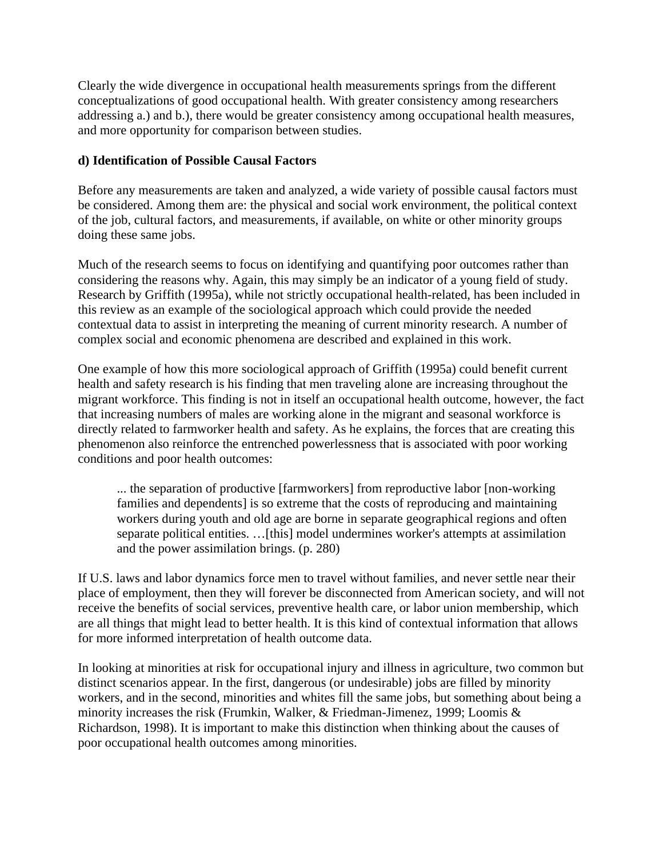Clearly the wide divergence in occupational health measurements springs from the different conceptualizations of good occupational health. With greater consistency among researchers addressing a.) and b.), there would be greater consistency among occupational health measures, and more opportunity for comparison between studies.

# **d) Identification of Possible Causal Factors**

Before any measurements are taken and analyzed, a wide variety of possible causal factors must be considered. Among them are: the physical and social work environment, the political context of the job, cultural factors, and measurements, if available, on white or other minority groups doing these same jobs.

Much of the research seems to focus on identifying and quantifying poor outcomes rather than considering the reasons why. Again, this may simply be an indicator of a young field of study. Research by Griffith (1995a), while not strictly occupational health-related, has been included in this review as an example of the sociological approach which could provide the needed contextual data to assist in interpreting the meaning of current minority research. A number of complex social and economic phenomena are described and explained in this work.

One example of how this more sociological approach of Griffith (1995a) could benefit current health and safety research is his finding that men traveling alone are increasing throughout the migrant workforce. This finding is not in itself an occupational health outcome, however, the fact that increasing numbers of males are working alone in the migrant and seasonal workforce is directly related to farmworker health and safety. As he explains, the forces that are creating this phenomenon also reinforce the entrenched powerlessness that is associated with poor working conditions and poor health outcomes:

... the separation of productive [farmworkers] from reproductive labor [non-working families and dependents] is so extreme that the costs of reproducing and maintaining workers during youth and old age are borne in separate geographical regions and often separate political entities. …[this] model undermines worker's attempts at assimilation and the power assimilation brings. (p. 280)

If U.S. laws and labor dynamics force men to travel without families, and never settle near their place of employment, then they will forever be disconnected from American society, and will not receive the benefits of social services, preventive health care, or labor union membership, which are all things that might lead to better health. It is this kind of contextual information that allows for more informed interpretation of health outcome data.

In looking at minorities at risk for occupational injury and illness in agriculture, two common but distinct scenarios appear. In the first, dangerous (or undesirable) jobs are filled by minority workers, and in the second, minorities and whites fill the same jobs, but something about being a minority increases the risk (Frumkin, Walker, & Friedman-Jimenez, 1999; Loomis & Richardson, 1998). It is important to make this distinction when thinking about the causes of poor occupational health outcomes among minorities.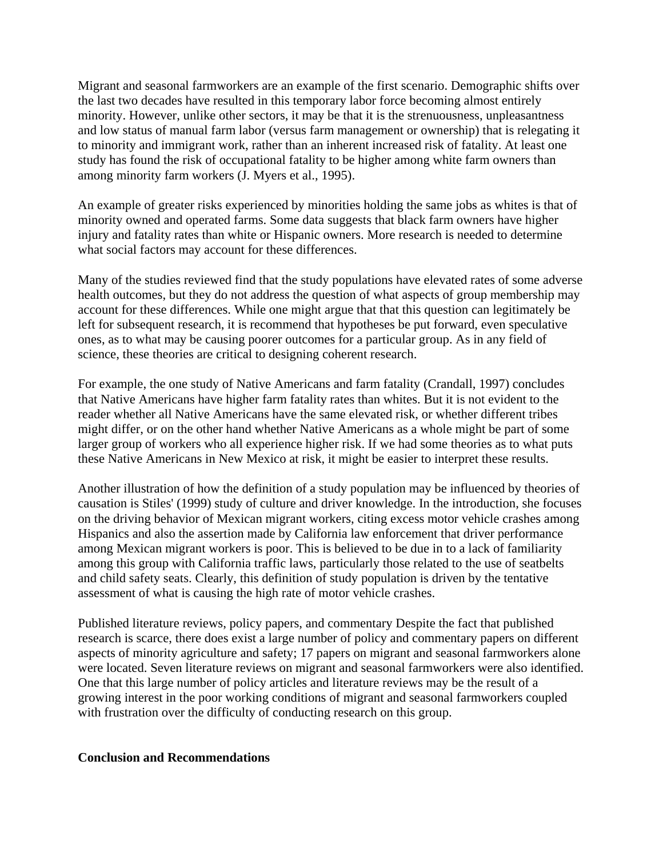Migrant and seasonal farmworkers are an example of the first scenario. Demographic shifts over the last two decades have resulted in this temporary labor force becoming almost entirely minority. However, unlike other sectors, it may be that it is the strenuousness, unpleasantness and low status of manual farm labor (versus farm management or ownership) that is relegating it to minority and immigrant work, rather than an inherent increased risk of fatality. At least one study has found the risk of occupational fatality to be higher among white farm owners than among minority farm workers (J. Myers et al., 1995).

An example of greater risks experienced by minorities holding the same jobs as whites is that of minority owned and operated farms. Some data suggests that black farm owners have higher injury and fatality rates than white or Hispanic owners. More research is needed to determine what social factors may account for these differences.

Many of the studies reviewed find that the study populations have elevated rates of some adverse health outcomes, but they do not address the question of what aspects of group membership may account for these differences. While one might argue that that this question can legitimately be left for subsequent research, it is recommend that hypotheses be put forward, even speculative ones, as to what may be causing poorer outcomes for a particular group. As in any field of science, these theories are critical to designing coherent research.

For example, the one study of Native Americans and farm fatality (Crandall, 1997) concludes that Native Americans have higher farm fatality rates than whites. But it is not evident to the reader whether all Native Americans have the same elevated risk, or whether different tribes might differ, or on the other hand whether Native Americans as a whole might be part of some larger group of workers who all experience higher risk. If we had some theories as to what puts these Native Americans in New Mexico at risk, it might be easier to interpret these results.

Another illustration of how the definition of a study population may be influenced by theories of causation is Stiles' (1999) study of culture and driver knowledge. In the introduction, she focuses on the driving behavior of Mexican migrant workers, citing excess motor vehicle crashes among Hispanics and also the assertion made by California law enforcement that driver performance among Mexican migrant workers is poor. This is believed to be due in to a lack of familiarity among this group with California traffic laws, particularly those related to the use of seatbelts and child safety seats. Clearly, this definition of study population is driven by the tentative assessment of what is causing the high rate of motor vehicle crashes.

Published literature reviews, policy papers, and commentary Despite the fact that published research is scarce, there does exist a large number of policy and commentary papers on different aspects of minority agriculture and safety; 17 papers on migrant and seasonal farmworkers alone were located. Seven literature reviews on migrant and seasonal farmworkers were also identified. One that this large number of policy articles and literature reviews may be the result of a growing interest in the poor working conditions of migrant and seasonal farmworkers coupled with frustration over the difficulty of conducting research on this group.

### **Conclusion and Recommendations**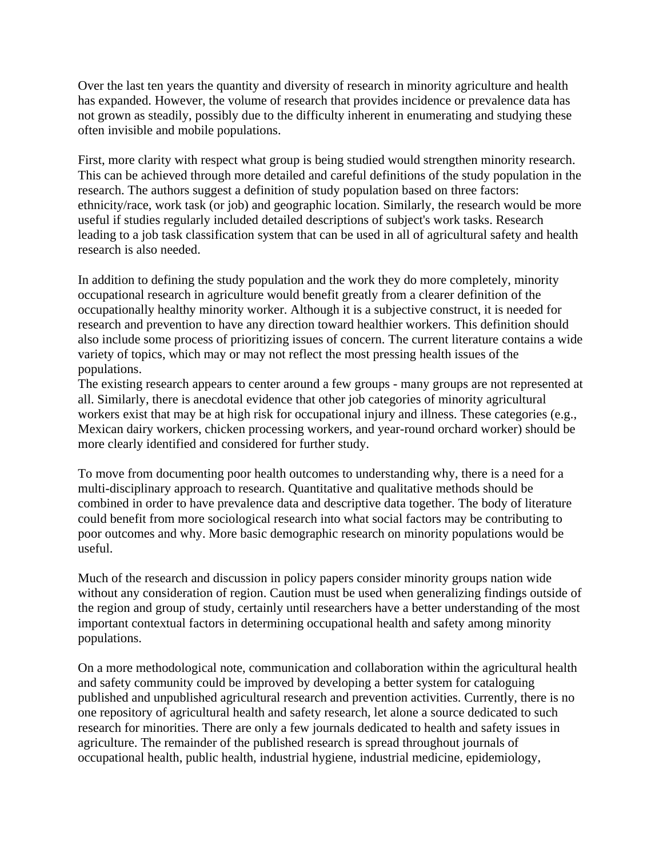Over the last ten years the quantity and diversity of research in minority agriculture and health has expanded. However, the volume of research that provides incidence or prevalence data has not grown as steadily, possibly due to the difficulty inherent in enumerating and studying these often invisible and mobile populations.

First, more clarity with respect what group is being studied would strengthen minority research. This can be achieved through more detailed and careful definitions of the study population in the research. The authors suggest a definition of study population based on three factors: ethnicity/race, work task (or job) and geographic location. Similarly, the research would be more useful if studies regularly included detailed descriptions of subject's work tasks. Research leading to a job task classification system that can be used in all of agricultural safety and health research is also needed.

In addition to defining the study population and the work they do more completely, minority occupational research in agriculture would benefit greatly from a clearer definition of the occupationally healthy minority worker. Although it is a subjective construct, it is needed for research and prevention to have any direction toward healthier workers. This definition should also include some process of prioritizing issues of concern. The current literature contains a wide variety of topics, which may or may not reflect the most pressing health issues of the populations.

The existing research appears to center around a few groups - many groups are not represented at all. Similarly, there is anecdotal evidence that other job categories of minority agricultural workers exist that may be at high risk for occupational injury and illness. These categories (e.g., Mexican dairy workers, chicken processing workers, and year-round orchard worker) should be more clearly identified and considered for further study.

To move from documenting poor health outcomes to understanding why, there is a need for a multi-disciplinary approach to research. Quantitative and qualitative methods should be combined in order to have prevalence data and descriptive data together. The body of literature could benefit from more sociological research into what social factors may be contributing to poor outcomes and why. More basic demographic research on minority populations would be useful.

Much of the research and discussion in policy papers consider minority groups nation wide without any consideration of region. Caution must be used when generalizing findings outside of the region and group of study, certainly until researchers have a better understanding of the most important contextual factors in determining occupational health and safety among minority populations.

On a more methodological note, communication and collaboration within the agricultural health and safety community could be improved by developing a better system for cataloguing published and unpublished agricultural research and prevention activities. Currently, there is no one repository of agricultural health and safety research, let alone a source dedicated to such research for minorities. There are only a few journals dedicated to health and safety issues in agriculture. The remainder of the published research is spread throughout journals of occupational health, public health, industrial hygiene, industrial medicine, epidemiology,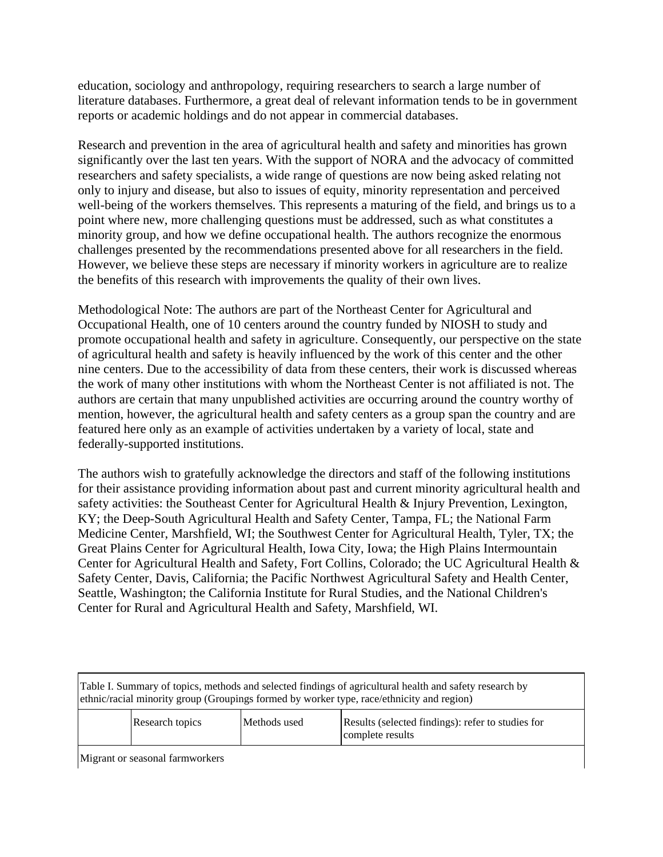education, sociology and anthropology, requiring researchers to search a large number of literature databases. Furthermore, a great deal of relevant information tends to be in government reports or academic holdings and do not appear in commercial databases.

Research and prevention in the area of agricultural health and safety and minorities has grown significantly over the last ten years. With the support of NORA and the advocacy of committed researchers and safety specialists, a wide range of questions are now being asked relating not only to injury and disease, but also to issues of equity, minority representation and perceived well-being of the workers themselves. This represents a maturing of the field, and brings us to a point where new, more challenging questions must be addressed, such as what constitutes a minority group, and how we define occupational health. The authors recognize the enormous challenges presented by the recommendations presented above for all researchers in the field. However, we believe these steps are necessary if minority workers in agriculture are to realize the benefits of this research with improvements the quality of their own lives.

Methodological Note: The authors are part of the Northeast Center for Agricultural and Occupational Health, one of 10 centers around the country funded by NIOSH to study and promote occupational health and safety in agriculture. Consequently, our perspective on the state of agricultural health and safety is heavily influenced by the work of this center and the other nine centers. Due to the accessibility of data from these centers, their work is discussed whereas the work of many other institutions with whom the Northeast Center is not affiliated is not. The authors are certain that many unpublished activities are occurring around the country worthy of mention, however, the agricultural health and safety centers as a group span the country and are featured here only as an example of activities undertaken by a variety of local, state and federally-supported institutions.

The authors wish to gratefully acknowledge the directors and staff of the following institutions for their assistance providing information about past and current minority agricultural health and safety activities: the Southeast Center for Agricultural Health & Injury Prevention, Lexington, KY; the Deep-South Agricultural Health and Safety Center, Tampa, FL; the National Farm Medicine Center, Marshfield, WI; the Southwest Center for Agricultural Health, Tyler, TX; the Great Plains Center for Agricultural Health, Iowa City, Iowa; the High Plains Intermountain Center for Agricultural Health and Safety, Fort Collins, Colorado; the UC Agricultural Health & Safety Center, Davis, California; the Pacific Northwest Agricultural Safety and Health Center, Seattle, Washington; the California Institute for Rural Studies, and the National Children's Center for Rural and Agricultural Health and Safety, Marshfield, WI.

Table I. Summary of topics, methods and selected findings of agricultural health and safety research by ethnic/racial minority group (Groupings formed by worker type, race/ethnicity and region)

|  | <b>Research topics</b> | Methods used | Results (selected findings): refer to studies for<br>complete results |
|--|------------------------|--------------|-----------------------------------------------------------------------|
|--|------------------------|--------------|-----------------------------------------------------------------------|

Migrant or seasonal farmworkers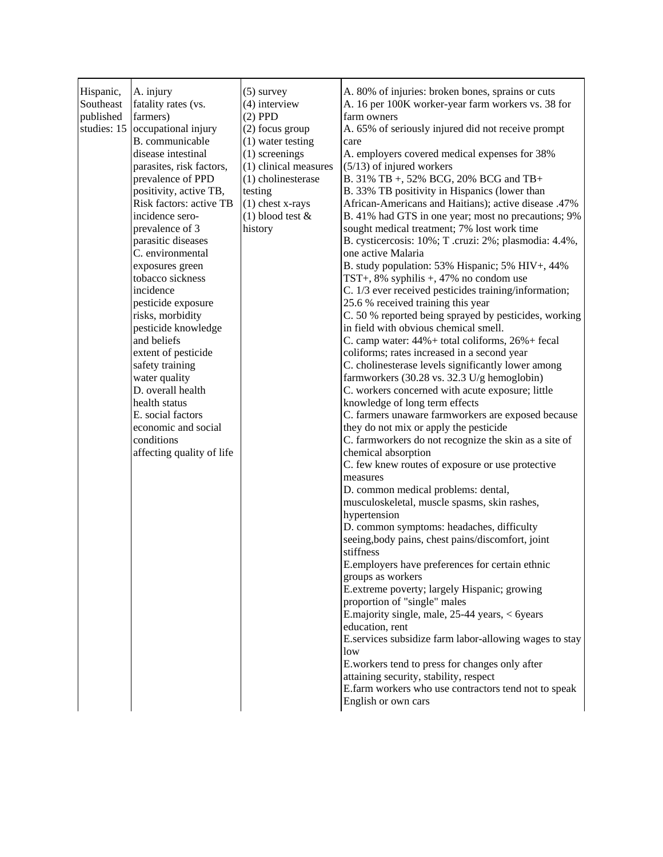| Hispanic,<br>Southeast<br>published<br>studies: 15 | A. injury<br>fatality rates (vs.<br>farmers)<br>occupational injury<br>B. communicable<br>disease intestinal<br>parasites, risk factors,<br>prevalence of PPD<br>positivity, active TB,<br>Risk factors: active TB<br>incidence sero-<br>prevalence of 3<br>parasitic diseases<br>C. environmental<br>exposures green<br>tobacco sickness<br>incidence<br>pesticide exposure<br>risks, morbidity<br>pesticide knowledge<br>and beliefs<br>extent of pesticide<br>safety training<br>water quality<br>D. overall health<br>health status<br>E. social factors<br>economic and social<br>conditions<br>affecting quality of life | $(5)$ survey<br>$(4)$ interview<br>$(2)$ PPD<br>(2) focus group<br>$(1)$ water testing<br>$(1)$ screenings<br>(1) clinical measures<br>(1) cholinesterase<br>testing<br>$(1)$ chest x-rays<br>$(1)$ blood test &<br>history | A. 80% of injuries: broken bones, sprains or cuts<br>A. 16 per 100K worker-year farm workers vs. 38 for<br>farm owners<br>A. 65% of seriously injured did not receive prompt<br>care<br>A. employers covered medical expenses for 38%<br>$(5/13)$ of injured workers<br>B. 31% TB +, 52% BCG, 20% BCG and TB+<br>B. 33% TB positivity in Hispanics (lower than<br>African-Americans and Haitians); active disease .47%<br>B. 41% had GTS in one year; most no precautions; 9%<br>sought medical treatment; 7% lost work time<br>B. cysticercosis: 10%; T. cruzi: 2%; plasmodia: 4.4%,<br>one active Malaria<br>B. study population: 53% Hispanic; 5% HIV+, 44%<br>TST+, $8\%$ syphilis +, $47\%$ no condom use<br>C. 1/3 ever received pesticides training/information;<br>25.6 % received training this year<br>C. 50 % reported being sprayed by pesticides, working<br>in field with obvious chemical smell.<br>C. camp water: $44\% +$ total coliforms, $26\% +$ fecal<br>coliforms; rates increased in a second year<br>C. cholinesterase levels significantly lower among<br>farmworkers (30.28 vs. 32.3 U/g hemoglobin)<br>C. workers concerned with acute exposure; little<br>knowledge of long term effects<br>C. farmers unaware farmworkers are exposed because<br>they do not mix or apply the pesticide<br>C. farmworkers do not recognize the skin as a site of<br>chemical absorption<br>C. few knew routes of exposure or use protective<br>measures<br>D. common medical problems: dental,<br>musculoskeletal, muscle spasms, skin rashes,<br>hypertension<br>D. common symptoms: headaches, difficulty<br>seeing, body pains, chest pains/discomfort, joint<br>stiffness<br>E.employers have preferences for certain ethnic<br>groups as workers<br>E.extreme poverty; largely Hispanic; growing<br>proportion of "single" males |
|----------------------------------------------------|--------------------------------------------------------------------------------------------------------------------------------------------------------------------------------------------------------------------------------------------------------------------------------------------------------------------------------------------------------------------------------------------------------------------------------------------------------------------------------------------------------------------------------------------------------------------------------------------------------------------------------|-----------------------------------------------------------------------------------------------------------------------------------------------------------------------------------------------------------------------------|----------------------------------------------------------------------------------------------------------------------------------------------------------------------------------------------------------------------------------------------------------------------------------------------------------------------------------------------------------------------------------------------------------------------------------------------------------------------------------------------------------------------------------------------------------------------------------------------------------------------------------------------------------------------------------------------------------------------------------------------------------------------------------------------------------------------------------------------------------------------------------------------------------------------------------------------------------------------------------------------------------------------------------------------------------------------------------------------------------------------------------------------------------------------------------------------------------------------------------------------------------------------------------------------------------------------------------------------------------------------------------------------------------------------------------------------------------------------------------------------------------------------------------------------------------------------------------------------------------------------------------------------------------------------------------------------------------------------------------------------------------------------------------------------------------------------------------------------------|
|                                                    |                                                                                                                                                                                                                                                                                                                                                                                                                                                                                                                                                                                                                                |                                                                                                                                                                                                                             | E.majority single, male, 25-44 years, < 6years<br>education, rent<br>E.services subsidize farm labor-allowing wages to stay<br>low<br>E.workers tend to press for changes only after<br>attaining security, stability, respect<br>E.farm workers who use contractors tend not to speak<br>English or own cars                                                                                                                                                                                                                                                                                                                                                                                                                                                                                                                                                                                                                                                                                                                                                                                                                                                                                                                                                                                                                                                                                                                                                                                                                                                                                                                                                                                                                                                                                                                                      |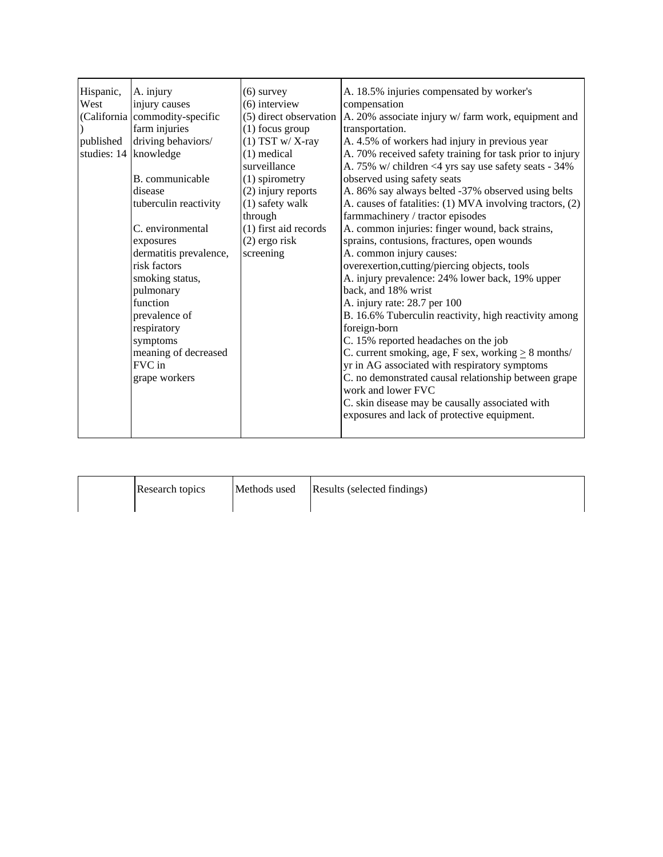| Hispanic,<br>West<br>published | A. injury<br>injury causes<br>(California commodity-specific<br>farm injuries<br>driving behaviors/<br>studies: 14 knowledge<br>B. communicable<br>disease<br>tuberculin reactivity<br>C. environmental<br>exposures<br>dermatitis prevalence,<br>risk factors<br>smoking status,<br>pulmonary<br>function<br>prevalence of<br>respiratory<br>symptoms<br>meaning of decreased<br>FVC in<br>grape workers | $(6)$ survey<br>$(6)$ interview<br>(5) direct observation<br>$(1)$ focus group<br>$(1)$ TST w/X-ray<br>$(1)$ medical<br>surveillance<br>(1) spirometry<br>(2) injury reports<br>(1) safety walk<br>through<br>(1) first aid records<br>$(2)$ ergo risk<br>screening | A. 18.5% injuries compensated by worker's<br>compensation<br>A. 20% associate injury w/ farm work, equipment and<br>transportation.<br>A. 4.5% of workers had injury in previous year<br>A. 70% received safety training for task prior to injury<br>A. 75% w/ children <4 yrs say use safety seats - 34%<br>observed using safety seats<br>A. 86% say always belted -37% observed using belts<br>A. causes of fatalities: (1) MVA involving tractors, (2)<br>farmmachinery / tractor episodes<br>A. common injuries: finger wound, back strains,<br>sprains, contusions, fractures, open wounds<br>A. common injury causes:<br>overexertion, cutting/piercing objects, tools<br>A. injury prevalence: 24% lower back, 19% upper<br>back, and 18% wrist<br>A. injury rate: 28.7 per 100<br>B. 16.6% Tuberculin reactivity, high reactivity among<br>foreign-born<br>C. 15% reported headaches on the job<br>C. current smoking, age, F sex, working $\geq 8$ months/<br>yr in AG associated with respiratory symptoms<br>C. no demonstrated causal relationship between grape<br>work and lower FVC<br>C. skin disease may be causally associated with<br>exposures and lack of protective equipment. |
|--------------------------------|-----------------------------------------------------------------------------------------------------------------------------------------------------------------------------------------------------------------------------------------------------------------------------------------------------------------------------------------------------------------------------------------------------------|---------------------------------------------------------------------------------------------------------------------------------------------------------------------------------------------------------------------------------------------------------------------|-------------------------------------------------------------------------------------------------------------------------------------------------------------------------------------------------------------------------------------------------------------------------------------------------------------------------------------------------------------------------------------------------------------------------------------------------------------------------------------------------------------------------------------------------------------------------------------------------------------------------------------------------------------------------------------------------------------------------------------------------------------------------------------------------------------------------------------------------------------------------------------------------------------------------------------------------------------------------------------------------------------------------------------------------------------------------------------------------------------------------------------------------------------------------------------------------------|
|--------------------------------|-----------------------------------------------------------------------------------------------------------------------------------------------------------------------------------------------------------------------------------------------------------------------------------------------------------------------------------------------------------------------------------------------------------|---------------------------------------------------------------------------------------------------------------------------------------------------------------------------------------------------------------------------------------------------------------------|-------------------------------------------------------------------------------------------------------------------------------------------------------------------------------------------------------------------------------------------------------------------------------------------------------------------------------------------------------------------------------------------------------------------------------------------------------------------------------------------------------------------------------------------------------------------------------------------------------------------------------------------------------------------------------------------------------------------------------------------------------------------------------------------------------------------------------------------------------------------------------------------------------------------------------------------------------------------------------------------------------------------------------------------------------------------------------------------------------------------------------------------------------------------------------------------------------|

| Research topics | Methods used | Results (selected findings) |
|-----------------|--------------|-----------------------------|
|                 |              |                             |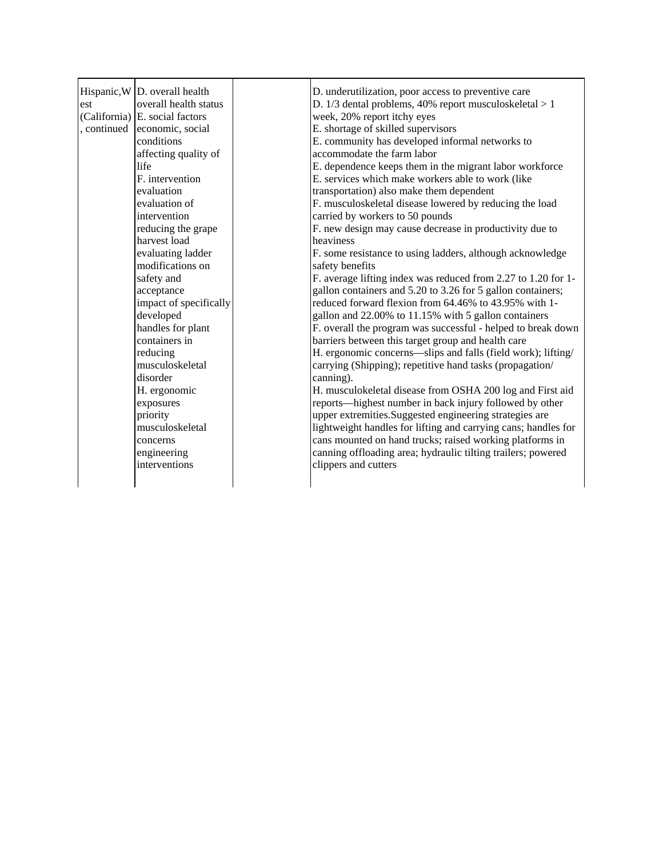| est<br>, continued | Hispanic, W $\vert$ D. overall health<br>overall health status<br>$(California)$ E. social factors<br>economic, social<br>conditions<br>affecting quality of<br>life<br>F. intervention<br>evaluation<br>evaluation of<br>intervention<br>reducing the grape<br>harvest load<br>evaluating ladder<br>modifications on<br>safety and<br>acceptance<br>impact of specifically<br>developed<br>handles for plant<br>containers in<br>reducing<br>musculoskeletal<br>disorder<br>H. ergonomic<br>exposures<br>priority<br>musculoskeletal<br>concerns<br>engineering | D. underutilization, poor access to preventive care<br>D. 1/3 dental problems, 40% report musculoskeletal > 1<br>week, 20% report itchy eyes<br>E. shortage of skilled supervisors<br>E. community has developed informal networks to<br>accommodate the farm labor<br>E. dependence keeps them in the migrant labor workforce<br>E. services which make workers able to work (like<br>transportation) also make them dependent<br>F. musculoskeletal disease lowered by reducing the load<br>carried by workers to 50 pounds<br>F. new design may cause decrease in productivity due to<br>heaviness<br>F. some resistance to using ladders, although acknowledge<br>safety benefits<br>F. average lifting index was reduced from 2.27 to 1.20 for 1-<br>gallon containers and 5.20 to 3.26 for 5 gallon containers;<br>reduced forward flexion from 64.46% to 43.95% with 1-<br>gallon and 22.00% to 11.15% with 5 gallon containers<br>F. overall the program was successful - helped to break down<br>barriers between this target group and health care<br>H. ergonomic concerns-slips and falls (field work); lifting/<br>carrying (Shipping); repetitive hand tasks (propagation/<br>canning).<br>H. musculokeletal disease from OSHA 200 log and First aid<br>reports—highest number in back injury followed by other<br>upper extremities.Suggested engineering strategies are<br>lightweight handles for lifting and carrying cans; handles for<br>cans mounted on hand trucks; raised working platforms in<br>canning offloading area; hydraulic tilting trailers; powered |
|--------------------|------------------------------------------------------------------------------------------------------------------------------------------------------------------------------------------------------------------------------------------------------------------------------------------------------------------------------------------------------------------------------------------------------------------------------------------------------------------------------------------------------------------------------------------------------------------|---------------------------------------------------------------------------------------------------------------------------------------------------------------------------------------------------------------------------------------------------------------------------------------------------------------------------------------------------------------------------------------------------------------------------------------------------------------------------------------------------------------------------------------------------------------------------------------------------------------------------------------------------------------------------------------------------------------------------------------------------------------------------------------------------------------------------------------------------------------------------------------------------------------------------------------------------------------------------------------------------------------------------------------------------------------------------------------------------------------------------------------------------------------------------------------------------------------------------------------------------------------------------------------------------------------------------------------------------------------------------------------------------------------------------------------------------------------------------------------------------------------------------------------------------------------------------------------|
|                    | interventions                                                                                                                                                                                                                                                                                                                                                                                                                                                                                                                                                    | clippers and cutters                                                                                                                                                                                                                                                                                                                                                                                                                                                                                                                                                                                                                                                                                                                                                                                                                                                                                                                                                                                                                                                                                                                                                                                                                                                                                                                                                                                                                                                                                                                                                                  |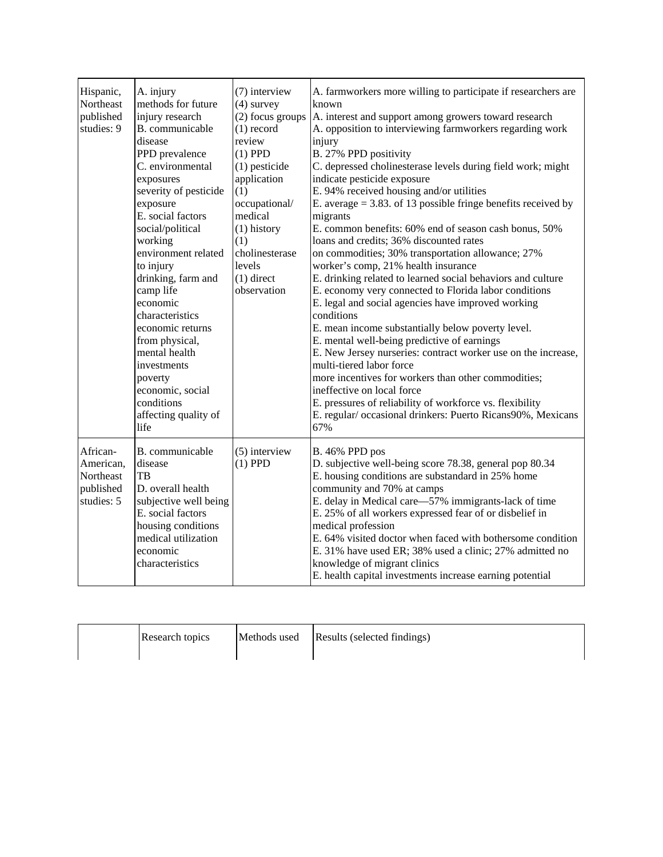| Hispanic,<br>Northeast<br>published<br>studies: 9             | A. injury<br>methods for future<br>injury research<br>B. communicable<br>disease<br>PPD prevalence<br>C. environmental<br>exposures<br>severity of pesticide<br>exposure<br>E. social factors<br>social/political<br>working<br>environment related<br>to injury<br>drinking, farm and<br>camp life<br>economic<br>characteristics<br>economic returns<br>from physical,<br>mental health<br>investments<br>poverty<br>economic, social<br>conditions<br>affecting quality of<br>life | (7) interview<br>$(4)$ survey<br>(2) focus groups<br>$(1)$ record<br>review<br>$(1)$ PPD<br>$(1)$ pesticide<br>application<br>(1)<br>occupational/<br>medical<br>$(1)$ history<br>(1)<br>cholinesterase<br>levels<br>$(1)$ direct<br>observation | A. farmworkers more willing to participate if researchers are<br>known<br>A. interest and support among growers toward research<br>A. opposition to interviewing farmworkers regarding work<br>injury<br>B. 27% PPD positivity<br>C. depressed cholinesterase levels during field work; might<br>indicate pesticide exposure<br>E. 94% received housing and/or utilities<br>E. average $= 3.83$ . of 13 possible fringe benefits received by<br>migrants<br>E. common benefits: 60% end of season cash bonus, 50%<br>loans and credits; 36% discounted rates<br>on commodities; 30% transportation allowance; 27%<br>worker's comp, 21% health insurance<br>E. drinking related to learned social behaviors and culture<br>E. economy very connected to Florida labor conditions<br>E. legal and social agencies have improved working<br>conditions<br>E. mean income substantially below poverty level.<br>E. mental well-being predictive of earnings<br>E. New Jersey nurseries: contract worker use on the increase,<br>multi-tiered labor force<br>more incentives for workers than other commodities;<br>ineffective on local force<br>E. pressures of reliability of workforce vs. flexibility<br>E. regular/occasional drinkers: Puerto Ricans90%, Mexicans<br>67% |
|---------------------------------------------------------------|---------------------------------------------------------------------------------------------------------------------------------------------------------------------------------------------------------------------------------------------------------------------------------------------------------------------------------------------------------------------------------------------------------------------------------------------------------------------------------------|--------------------------------------------------------------------------------------------------------------------------------------------------------------------------------------------------------------------------------------------------|-----------------------------------------------------------------------------------------------------------------------------------------------------------------------------------------------------------------------------------------------------------------------------------------------------------------------------------------------------------------------------------------------------------------------------------------------------------------------------------------------------------------------------------------------------------------------------------------------------------------------------------------------------------------------------------------------------------------------------------------------------------------------------------------------------------------------------------------------------------------------------------------------------------------------------------------------------------------------------------------------------------------------------------------------------------------------------------------------------------------------------------------------------------------------------------------------------------------------------------------------------------------------------|
| African-<br>American,<br>Northeast<br>published<br>studies: 5 | B. communicable<br>disease<br>TB<br>D. overall health<br>subjective well being<br>E. social factors<br>housing conditions<br>medical utilization<br>economic<br>characteristics                                                                                                                                                                                                                                                                                                       | $(5)$ interview<br>$(1)$ PPD                                                                                                                                                                                                                     | B. 46% PPD pos<br>D. subjective well-being score 78.38, general pop 80.34<br>E. housing conditions are substandard in 25% home<br>community and 70% at camps<br>E. delay in Medical care—57% immigrants-lack of time<br>E. 25% of all workers expressed fear of or disbelief in<br>medical profession<br>E. 64% visited doctor when faced with bothersome condition<br>E. 31% have used ER; 38% used a clinic; 27% admitted no<br>knowledge of migrant clinics<br>E. health capital investments increase earning potential                                                                                                                                                                                                                                                                                                                                                                                                                                                                                                                                                                                                                                                                                                                                                  |

| Research topics | Methods used | Results (selected findings) |
|-----------------|--------------|-----------------------------|
|                 |              |                             |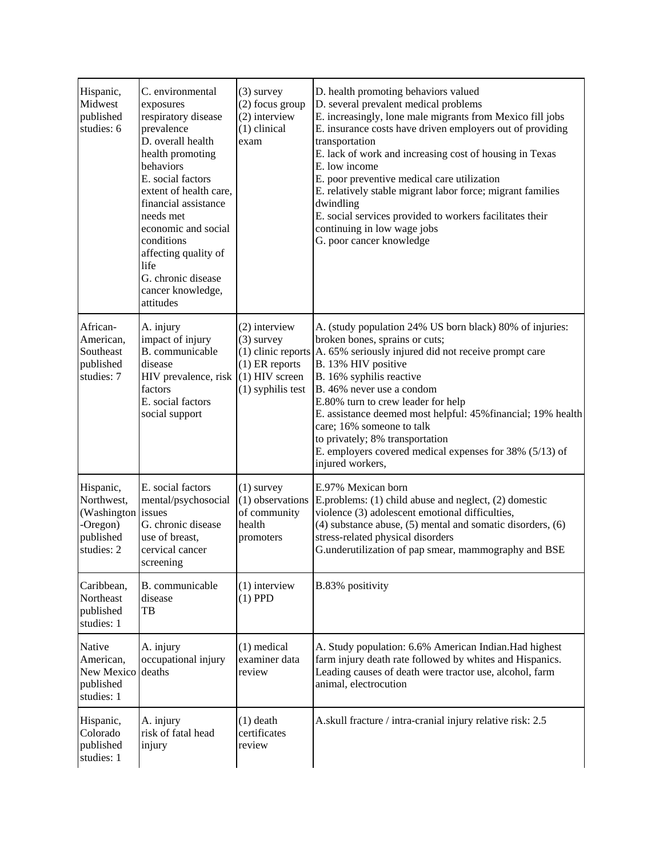| Hispanic,<br>Midwest<br>published<br>studies: 6                               | C. environmental<br>exposures<br>respiratory disease<br>prevalence<br>D. overall health<br>health promoting<br>behaviors<br>E. social factors<br>extent of health care,<br>financial assistance<br>needs met<br>economic and social<br>conditions<br>affecting quality of<br>life<br>G. chronic disease<br>cancer knowledge,<br>attitudes | $(3)$ survey<br>(2) focus group<br>(2) interview<br>$(1)$ clinical<br>exam                                         | D. health promoting behaviors valued<br>D. several prevalent medical problems<br>E. increasingly, lone male migrants from Mexico fill jobs<br>E. insurance costs have driven employers out of providing<br>transportation<br>E. lack of work and increasing cost of housing in Texas<br>E. low income<br>E. poor preventive medical care utilization<br>E. relatively stable migrant labor force; migrant families<br>dwindling<br>E. social services provided to workers facilitates their<br>continuing in low wage jobs<br>G. poor cancer knowledge |
|-------------------------------------------------------------------------------|-------------------------------------------------------------------------------------------------------------------------------------------------------------------------------------------------------------------------------------------------------------------------------------------------------------------------------------------|--------------------------------------------------------------------------------------------------------------------|--------------------------------------------------------------------------------------------------------------------------------------------------------------------------------------------------------------------------------------------------------------------------------------------------------------------------------------------------------------------------------------------------------------------------------------------------------------------------------------------------------------------------------------------------------|
| African-<br>American,<br>Southeast<br>published<br>studies: 7                 | A. injury<br>impact of injury<br>B. communicable<br>disease<br>HIV prevalence, risk<br>factors<br>E. social factors<br>social support                                                                                                                                                                                                     | (2) interview<br>$(3)$ survey<br>$(1)$ clinic reports<br>$(1)$ ER reports<br>$(1)$ HIV screen<br>(1) syphilis test | A. (study population 24% US born black) 80% of injuries:<br>broken bones, sprains or cuts;<br>A. 65% seriously injured did not receive prompt care<br>B. 13% HIV positive<br>B. 16% syphilis reactive<br>B. 46% never use a condom<br>E.80% turn to crew leader for help<br>E. assistance deemed most helpful: 45% financial; 19% health<br>care; 16% someone to talk<br>to privately; 8% transportation<br>E. employers covered medical expenses for 38% (5/13) of<br>injured workers,                                                                |
| Hispanic,<br>Northwest,<br>(Washington<br>-Oregon)<br>published<br>studies: 2 | E. social factors<br>mental/psychosocial<br>issues<br>G. chronic disease<br>use of breast,<br>cervical cancer<br>screening                                                                                                                                                                                                                | $(1)$ survey<br>(1) observations<br>of community<br>health<br>promoters                                            | E.97% Mexican born<br>E.problems: (1) child abuse and neglect, (2) domestic<br>violence (3) adolescent emotional difficulties,<br>$(4)$ substance abuse, $(5)$ mental and somatic disorders, $(6)$<br>stress-related physical disorders<br>G.underutilization of pap smear, mammography and BSE                                                                                                                                                                                                                                                        |
| Caribbean,<br>Northeast<br>published<br>studies: 1                            | B. communicable<br>disease<br>TB                                                                                                                                                                                                                                                                                                          | $(1)$ interview<br>$(1)$ PPD                                                                                       | B.83% positivity                                                                                                                                                                                                                                                                                                                                                                                                                                                                                                                                       |
| Native<br>American,<br>New Mexico<br>published<br>studies: 1                  | A. injury<br>occupational injury<br>deaths                                                                                                                                                                                                                                                                                                | $(1)$ medical<br>examiner data<br>review                                                                           | A. Study population: 6.6% American Indian. Had highest<br>farm injury death rate followed by whites and Hispanics.<br>Leading causes of death were tractor use, alcohol, farm<br>animal, electrocution                                                                                                                                                                                                                                                                                                                                                 |
| Hispanic,<br>Colorado<br>published<br>studies: 1                              | A. injury<br>risk of fatal head<br>injury                                                                                                                                                                                                                                                                                                 | $(1)$ death<br>certificates<br>review                                                                              | A.skull fracture / intra-cranial injury relative risk: 2.5                                                                                                                                                                                                                                                                                                                                                                                                                                                                                             |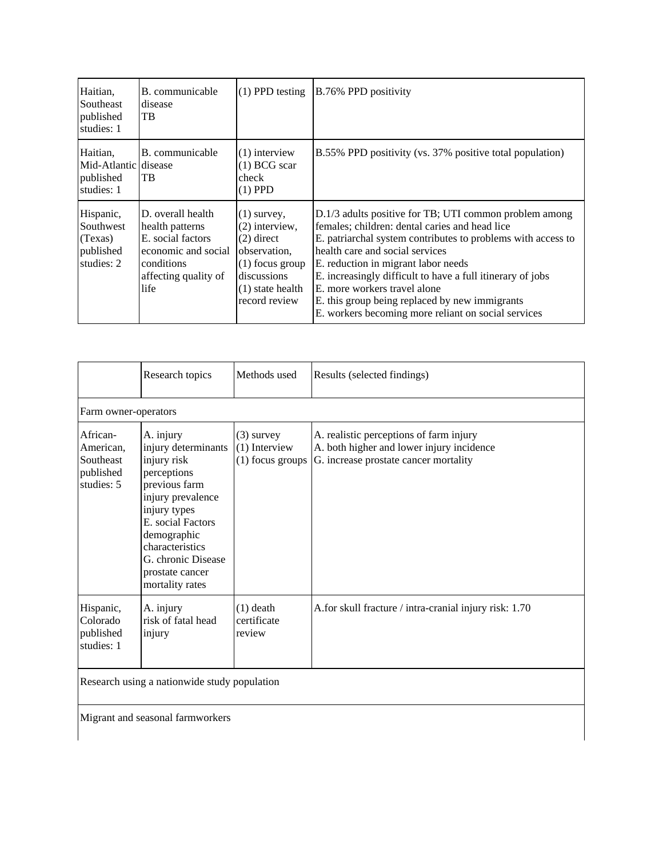| Haitian.<br>Southeast<br>published<br>studies: 1             | B. communicable<br>disease<br>TB                                                                                               | $(1)$ PPD testing                                                                                                                            | B.76% PPD positivity                                                                                                                                                                                                                                                                                                                                                                                                                                      |
|--------------------------------------------------------------|--------------------------------------------------------------------------------------------------------------------------------|----------------------------------------------------------------------------------------------------------------------------------------------|-----------------------------------------------------------------------------------------------------------------------------------------------------------------------------------------------------------------------------------------------------------------------------------------------------------------------------------------------------------------------------------------------------------------------------------------------------------|
| Haitian.<br>Mid-Atlantic disease<br>published<br>studies: 1  | B. communicable<br>TB                                                                                                          | $(1)$ interview<br>$(1)$ BCG scar<br>check<br>$(1)$ PPD                                                                                      | B.55% PPD positivity (vs. 37% positive total population)                                                                                                                                                                                                                                                                                                                                                                                                  |
| Hispanic,<br>Southwest<br>(Texas)<br>published<br>studies: 2 | D. overall health<br>health patterns<br>E. social factors<br>economic and social<br>conditions<br>affecting quality of<br>life | $(1)$ survey,<br>$(2)$ interview,<br>$(2)$ direct<br>observation,<br>$(1)$ focus group<br>discussions<br>$(1)$ state health<br>record review | D.1/3 adults positive for TB; UTI common problem among<br>females; children: dental caries and head lice<br>E. patriarchal system contributes to problems with access to<br>health care and social services<br>E. reduction in migrant labor needs<br>E. increasingly difficult to have a full itinerary of jobs<br>E, more workers travel alone<br>E. this group being replaced by new immigrants<br>E. workers becoming more reliant on social services |

|                                                               | Research topics                                                                                                                                                                                                                         | Methods used                                          | Results (selected findings)                                                                                                   |
|---------------------------------------------------------------|-----------------------------------------------------------------------------------------------------------------------------------------------------------------------------------------------------------------------------------------|-------------------------------------------------------|-------------------------------------------------------------------------------------------------------------------------------|
| Farm owner-operators                                          |                                                                                                                                                                                                                                         |                                                       |                                                                                                                               |
| African-<br>American,<br>Southeast<br>published<br>studies: 5 | A. injury<br>injury determinants<br>injury risk<br>perceptions<br>previous farm<br>injury prevalence<br>injury types<br>E. social Factors<br>demographic<br>characteristics<br>G. chronic Disease<br>prostate cancer<br>mortality rates | $(3)$ survey<br>$(1)$ Interview<br>$(1)$ focus groups | A. realistic perceptions of farm injury<br>A. both higher and lower injury incidence<br>G. increase prostate cancer mortality |
| Hispanic,<br>Colorado<br>published<br>studies: 1              | A. injury<br>risk of fatal head<br>injury                                                                                                                                                                                               | $(1)$ death<br>certificate<br>review                  | A.for skull fracture / intra-cranial injury risk: 1.70                                                                        |

Research using a nationwide study population

Migrant and seasonal farmworkers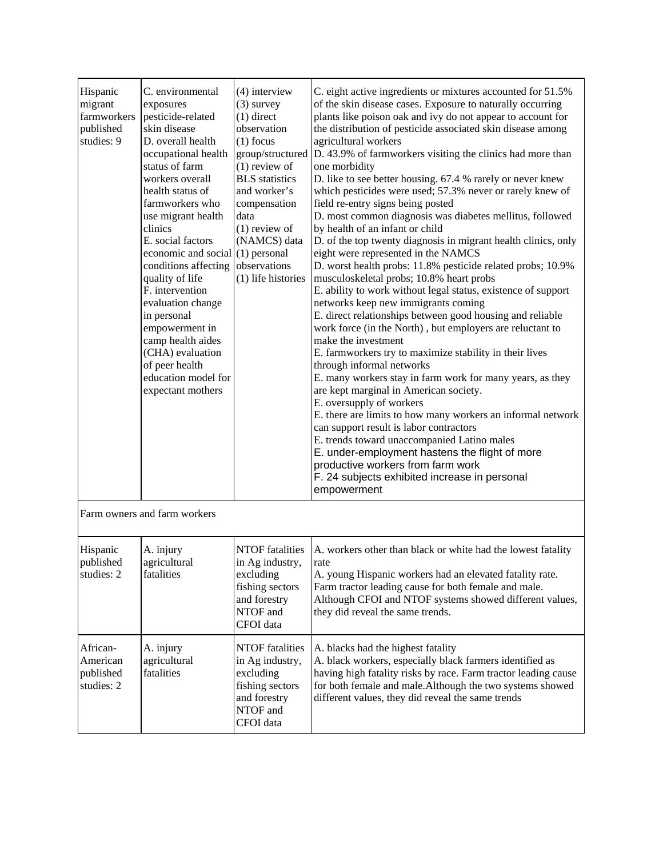| C. environmental<br>exposures<br>pesticide-related<br>skin disease<br>D. overall health<br>occupational health<br>status of farm<br>workers overall<br>health status of<br>farmworkers who<br>use migrant health<br>clinics<br>E. social factors<br>conditions affecting<br>quality of life<br>F. intervention<br>evaluation change<br>in personal<br>empowerment in<br>camp health aides<br>(CHA) evaluation<br>of peer health<br>education model for<br>expectant mothers | $(4)$ interview<br>$(3)$ survey<br>$(1)$ direct<br>observation<br>$(1)$ focus<br>group/structured<br>$(1)$ review of<br><b>BLS</b> statistics<br>and worker's<br>compensation<br>data<br>$(1)$ review of<br>(NAMCS) data<br>observations<br>(1) life histories | C. eight active ingredients or mixtures accounted for 51.5%<br>of the skin disease cases. Exposure to naturally occurring<br>plants like poison oak and ivy do not appear to account for<br>the distribution of pesticide associated skin disease among<br>agricultural workers<br>D. 43.9% of farmworkers visiting the clinics had more than<br>one morbidity<br>D. like to see better housing. 67.4 % rarely or never knew<br>which pesticides were used; 57.3% never or rarely knew of<br>field re-entry signs being posted<br>D. most common diagnosis was diabetes mellitus, followed<br>by health of an infant or child<br>D. of the top twenty diagnosis in migrant health clinics, only<br>eight were represented in the NAMCS<br>D. worst health probs: 11.8% pesticide related probs; 10.9%<br>musculoskeletal probs; 10.8% heart probs<br>E. ability to work without legal status, existence of support<br>networks keep new immigrants coming<br>E. direct relationships between good housing and reliable<br>work force (in the North), but employers are reluctant to<br>make the investment<br>E. farmworkers try to maximize stability in their lives<br>through informal networks<br>E. many workers stay in farm work for many years, as they<br>are kept marginal in American society.<br>E. oversupply of workers<br>E. there are limits to how many workers an informal network<br>can support result is labor contractors<br>E. trends toward unaccompanied Latino males<br>E. under-employment hastens the flight of more<br>productive workers from farm work<br>F. 24 subjects exhibited increase in personal<br>empowerment |
|-----------------------------------------------------------------------------------------------------------------------------------------------------------------------------------------------------------------------------------------------------------------------------------------------------------------------------------------------------------------------------------------------------------------------------------------------------------------------------|----------------------------------------------------------------------------------------------------------------------------------------------------------------------------------------------------------------------------------------------------------------|-------------------------------------------------------------------------------------------------------------------------------------------------------------------------------------------------------------------------------------------------------------------------------------------------------------------------------------------------------------------------------------------------------------------------------------------------------------------------------------------------------------------------------------------------------------------------------------------------------------------------------------------------------------------------------------------------------------------------------------------------------------------------------------------------------------------------------------------------------------------------------------------------------------------------------------------------------------------------------------------------------------------------------------------------------------------------------------------------------------------------------------------------------------------------------------------------------------------------------------------------------------------------------------------------------------------------------------------------------------------------------------------------------------------------------------------------------------------------------------------------------------------------------------------------------------------------------------------------------------------------------------------------------|
| Farm owners and farm workers                                                                                                                                                                                                                                                                                                                                                                                                                                                |                                                                                                                                                                                                                                                                |                                                                                                                                                                                                                                                                                                                                                                                                                                                                                                                                                                                                                                                                                                                                                                                                                                                                                                                                                                                                                                                                                                                                                                                                                                                                                                                                                                                                                                                                                                                                                                                                                                                       |
| A. injury<br>agricultural<br>fatalities                                                                                                                                                                                                                                                                                                                                                                                                                                     | NTOF fatalities<br>in Ag industry,<br>excluding<br>fishing sectors<br>and forestry<br>NTOF and<br>CFOI data                                                                                                                                                    | A. workers other than black or white had the lowest fatality<br>rate<br>A. young Hispanic workers had an elevated fatality rate.<br>Farm tractor leading cause for both female and male.<br>Although CFOI and NTOF systems showed different values,<br>they did reveal the same trends.                                                                                                                                                                                                                                                                                                                                                                                                                                                                                                                                                                                                                                                                                                                                                                                                                                                                                                                                                                                                                                                                                                                                                                                                                                                                                                                                                               |
| A. injury<br>agricultural<br>fatalities                                                                                                                                                                                                                                                                                                                                                                                                                                     | NTOF fatalities<br>in Ag industry,<br>excluding<br>fishing sectors<br>and forestry<br>NTOF and<br>CFOI data                                                                                                                                                    | A. blacks had the highest fatality<br>A. black workers, especially black farmers identified as<br>having high fatality risks by race. Farm tractor leading cause<br>for both female and male. Although the two systems showed<br>different values, they did reveal the same trends                                                                                                                                                                                                                                                                                                                                                                                                                                                                                                                                                                                                                                                                                                                                                                                                                                                                                                                                                                                                                                                                                                                                                                                                                                                                                                                                                                    |
|                                                                                                                                                                                                                                                                                                                                                                                                                                                                             |                                                                                                                                                                                                                                                                | economic and social $(1)$ personal                                                                                                                                                                                                                                                                                                                                                                                                                                                                                                                                                                                                                                                                                                                                                                                                                                                                                                                                                                                                                                                                                                                                                                                                                                                                                                                                                                                                                                                                                                                                                                                                                    |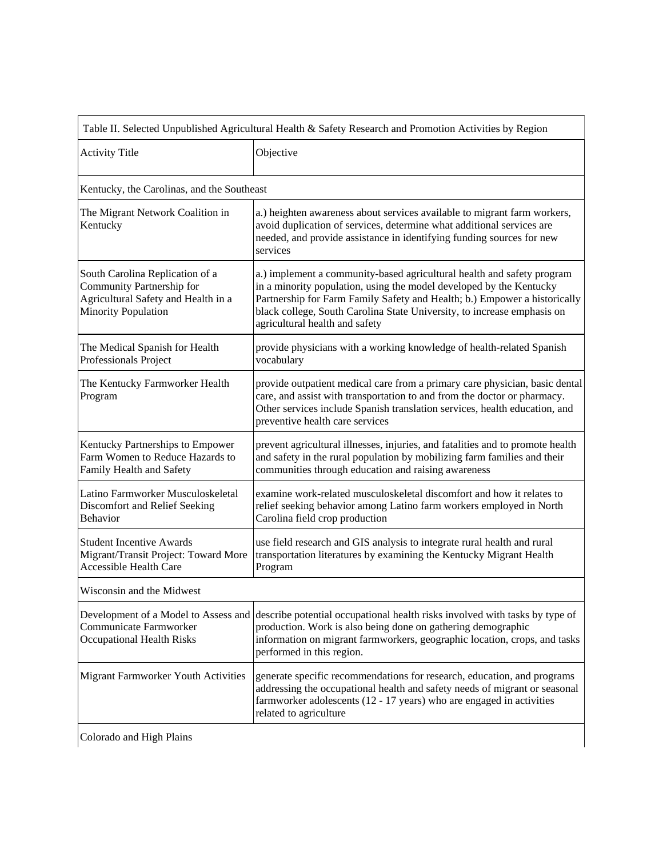| <b>Activity Title</b><br>Kentucky, the Carolinas, and the Southeast<br>The Migrant Network Coalition in                           | Objective<br>a.) heighten awareness about services available to migrant farm workers,<br>avoid duplication of services, determine what additional services are<br>needed, and provide assistance in identifying funding sources for new<br>services                                                                                     |
|-----------------------------------------------------------------------------------------------------------------------------------|-----------------------------------------------------------------------------------------------------------------------------------------------------------------------------------------------------------------------------------------------------------------------------------------------------------------------------------------|
|                                                                                                                                   |                                                                                                                                                                                                                                                                                                                                         |
|                                                                                                                                   |                                                                                                                                                                                                                                                                                                                                         |
| Kentucky                                                                                                                          |                                                                                                                                                                                                                                                                                                                                         |
| South Carolina Replication of a<br>Community Partnership for<br>Agricultural Safety and Health in a<br><b>Minority Population</b> | a.) implement a community-based agricultural health and safety program<br>in a minority population, using the model developed by the Kentucky<br>Partnership for Farm Family Safety and Health; b.) Empower a historically<br>black college, South Carolina State University, to increase emphasis on<br>agricultural health and safety |
| The Medical Spanish for Health<br>Professionals Project                                                                           | provide physicians with a working knowledge of health-related Spanish<br>vocabulary                                                                                                                                                                                                                                                     |
| The Kentucky Farmworker Health<br>Program                                                                                         | provide outpatient medical care from a primary care physician, basic dental<br>care, and assist with transportation to and from the doctor or pharmacy.<br>Other services include Spanish translation services, health education, and<br>preventive health care services                                                                |
| Kentucky Partnerships to Empower<br>Farm Women to Reduce Hazards to<br>Family Health and Safety                                   | prevent agricultural illnesses, injuries, and fatalities and to promote health<br>and safety in the rural population by mobilizing farm families and their<br>communities through education and raising awareness                                                                                                                       |
| Latino Farmworker Musculoskeletal<br>Discomfort and Relief Seeking<br>Behavior                                                    | examine work-related musculoskeletal discomfort and how it relates to<br>relief seeking behavior among Latino farm workers employed in North<br>Carolina field crop production                                                                                                                                                          |
| <b>Student Incentive Awards</b><br>Migrant/Transit Project: Toward More<br><b>Accessible Health Care</b>                          | use field research and GIS analysis to integrate rural health and rural<br>transportation literatures by examining the Kentucky Migrant Health<br>Program                                                                                                                                                                               |
| Wisconsin and the Midwest                                                                                                         |                                                                                                                                                                                                                                                                                                                                         |
| Communicate Farmworker<br><b>Occupational Health Risks</b>                                                                        | Development of a Model to Assess and describe potential occupational health risks involved with tasks by type of<br>production. Work is also being done on gathering demographic<br>information on migrant farmworkers, geographic location, crops, and tasks<br>performed in this region.                                              |
| Migrant Farmworker Youth Activities                                                                                               | generate specific recommendations for research, education, and programs<br>addressing the occupational health and safety needs of migrant or seasonal<br>farmworker adolescents (12 - 17 years) who are engaged in activities<br>related to agriculture                                                                                 |

 $\begin{array}{c} \end{array}$ 

Colorado and High Plains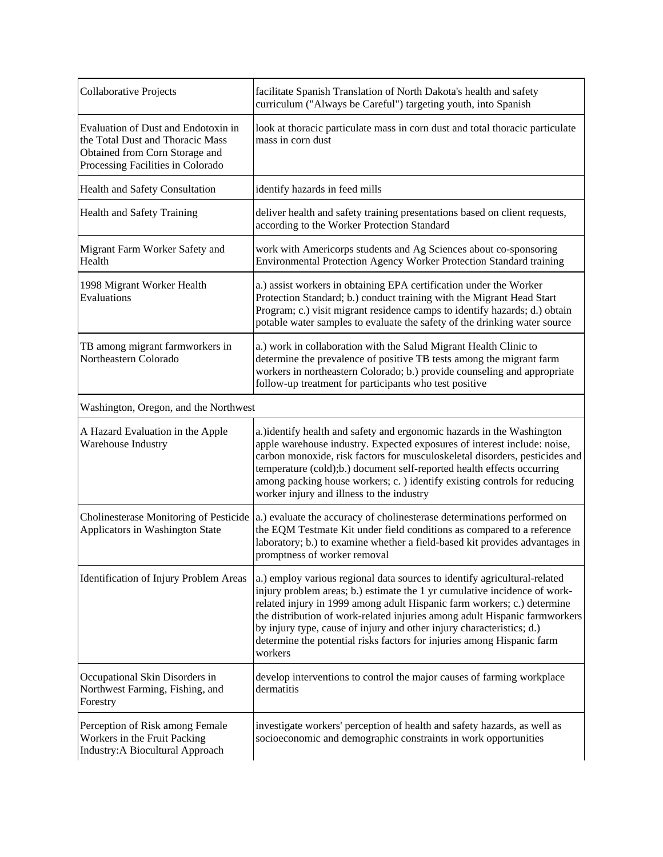| Collaborative Projects                                                                                                                         | facilitate Spanish Translation of North Dakota's health and safety<br>curriculum ("Always be Careful") targeting youth, into Spanish                                                                                                                                                                                                                                                                                                                                          |
|------------------------------------------------------------------------------------------------------------------------------------------------|-------------------------------------------------------------------------------------------------------------------------------------------------------------------------------------------------------------------------------------------------------------------------------------------------------------------------------------------------------------------------------------------------------------------------------------------------------------------------------|
| Evaluation of Dust and Endotoxin in<br>the Total Dust and Thoracic Mass<br>Obtained from Corn Storage and<br>Processing Facilities in Colorado | look at thoracic particulate mass in corn dust and total thoracic particulate<br>mass in corn dust                                                                                                                                                                                                                                                                                                                                                                            |
| Health and Safety Consultation                                                                                                                 | identify hazards in feed mills                                                                                                                                                                                                                                                                                                                                                                                                                                                |
| Health and Safety Training                                                                                                                     | deliver health and safety training presentations based on client requests,<br>according to the Worker Protection Standard                                                                                                                                                                                                                                                                                                                                                     |
| Migrant Farm Worker Safety and<br>Health                                                                                                       | work with Americorps students and Ag Sciences about co-sponsoring<br>Environmental Protection Agency Worker Protection Standard training                                                                                                                                                                                                                                                                                                                                      |
| 1998 Migrant Worker Health<br>Evaluations                                                                                                      | a.) assist workers in obtaining EPA certification under the Worker<br>Protection Standard; b.) conduct training with the Migrant Head Start<br>Program; c.) visit migrant residence camps to identify hazards; d.) obtain<br>potable water samples to evaluate the safety of the drinking water source                                                                                                                                                                        |
| TB among migrant farmworkers in<br>Northeastern Colorado                                                                                       | a.) work in collaboration with the Salud Migrant Health Clinic to<br>determine the prevalence of positive TB tests among the migrant farm<br>workers in northeastern Colorado; b.) provide counseling and appropriate<br>follow-up treatment for participants who test positive                                                                                                                                                                                               |
| Washington, Oregon, and the Northwest                                                                                                          |                                                                                                                                                                                                                                                                                                                                                                                                                                                                               |
| A Hazard Evaluation in the Apple                                                                                                               | a.)identify health and safety and ergonomic hazards in the Washington                                                                                                                                                                                                                                                                                                                                                                                                         |
| Warehouse Industry                                                                                                                             | apple warehouse industry. Expected exposures of interest include: noise,<br>carbon monoxide, risk factors for musculoskeletal disorders, pesticides and<br>temperature (cold);b.) document self-reported health effects occurring<br>among packing house workers; c.) identify existing controls for reducing<br>worker injury and illness to the industry                                                                                                                    |
| Applicators in Washington State                                                                                                                | Cholinesterase Monitoring of Pesticide $ a $ . evaluate the accuracy of cholinesterase determinations performed on<br>the EQM Testmate Kit under field conditions as compared to a reference<br>laboratory; b.) to examine whether a field-based kit provides advantages in<br>promptness of worker removal                                                                                                                                                                   |
| Identification of Injury Problem Areas                                                                                                         | a.) employ various regional data sources to identify agricultural-related<br>injury problem areas; b.) estimate the 1 yr cumulative incidence of work-<br>related injury in 1999 among adult Hispanic farm workers; c.) determine<br>the distribution of work-related injuries among adult Hispanic farmworkers<br>by injury type, cause of injury and other injury characteristics; d.)<br>determine the potential risks factors for injuries among Hispanic farm<br>workers |
| Occupational Skin Disorders in<br>Northwest Farming, Fishing, and<br>Forestry                                                                  | develop interventions to control the major causes of farming workplace<br>dermatitis                                                                                                                                                                                                                                                                                                                                                                                          |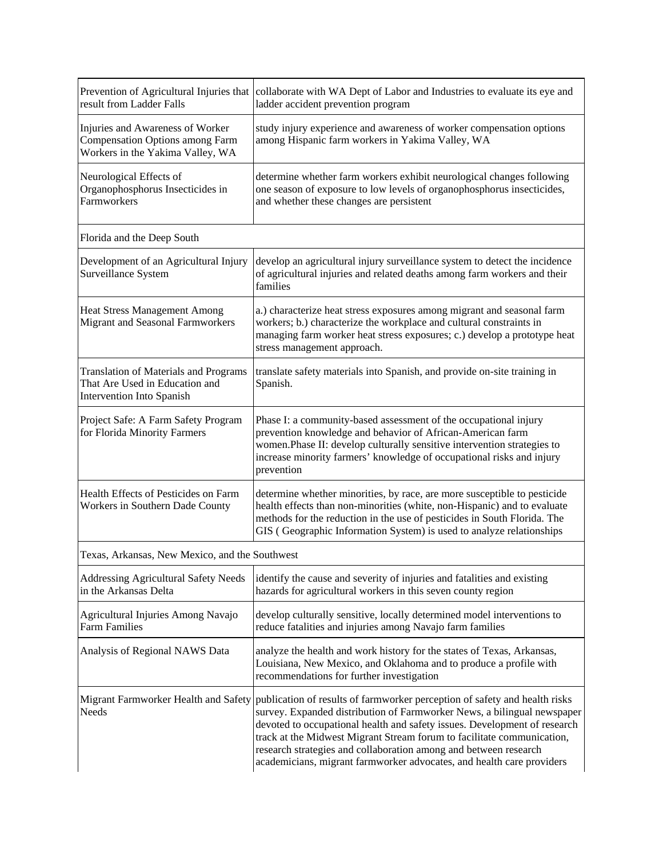| result from Ladder Falls                                                                                       | Prevention of Agricultural Injuries that collaborate with WA Dept of Labor and Industries to evaluate its eye and<br>ladder accident prevention program                                                                                                                                                                                                                                                                                                                                        |  |
|----------------------------------------------------------------------------------------------------------------|------------------------------------------------------------------------------------------------------------------------------------------------------------------------------------------------------------------------------------------------------------------------------------------------------------------------------------------------------------------------------------------------------------------------------------------------------------------------------------------------|--|
| Injuries and Awareness of Worker<br><b>Compensation Options among Farm</b><br>Workers in the Yakima Valley, WA | study injury experience and awareness of worker compensation options<br>among Hispanic farm workers in Yakima Valley, WA                                                                                                                                                                                                                                                                                                                                                                       |  |
| Neurological Effects of<br>Organophosphorus Insecticides in<br>Farmworkers                                     | determine whether farm workers exhibit neurological changes following<br>one season of exposure to low levels of organophosphorus insecticides,<br>and whether these changes are persistent                                                                                                                                                                                                                                                                                                    |  |
| Florida and the Deep South                                                                                     |                                                                                                                                                                                                                                                                                                                                                                                                                                                                                                |  |
| Development of an Agricultural Injury<br>Surveillance System                                                   | develop an agricultural injury surveillance system to detect the incidence<br>of agricultural injuries and related deaths among farm workers and their<br>families                                                                                                                                                                                                                                                                                                                             |  |
| Heat Stress Management Among<br>Migrant and Seasonal Farmworkers                                               | a.) characterize heat stress exposures among migrant and seasonal farm<br>workers; b.) characterize the workplace and cultural constraints in<br>managing farm worker heat stress exposures; c.) develop a prototype heat<br>stress management approach.                                                                                                                                                                                                                                       |  |
| <b>Translation of Materials and Programs</b><br>That Are Used in Education and<br>Intervention Into Spanish    | translate safety materials into Spanish, and provide on-site training in<br>Spanish.                                                                                                                                                                                                                                                                                                                                                                                                           |  |
| Project Safe: A Farm Safety Program<br>for Florida Minority Farmers                                            | Phase I: a community-based assessment of the occupational injury<br>prevention knowledge and behavior of African-American farm<br>women.Phase II: develop culturally sensitive intervention strategies to<br>increase minority farmers' knowledge of occupational risks and injury<br>prevention                                                                                                                                                                                               |  |
| Health Effects of Pesticides on Farm<br>Workers in Southern Dade County                                        | determine whether minorities, by race, are more susceptible to pesticide<br>health effects than non-minorities (white, non-Hispanic) and to evaluate<br>methods for the reduction in the use of pesticides in South Florida. The<br>GIS (Geographic Information System) is used to analyze relationships                                                                                                                                                                                       |  |
| Texas, Arkansas, New Mexico, and the Southwest                                                                 |                                                                                                                                                                                                                                                                                                                                                                                                                                                                                                |  |
| Addressing Agricultural Safety Needs<br>in the Arkansas Delta                                                  | identify the cause and severity of injuries and fatalities and existing<br>hazards for agricultural workers in this seven county region                                                                                                                                                                                                                                                                                                                                                        |  |
| Agricultural Injuries Among Navajo<br><b>Farm Families</b>                                                     | develop culturally sensitive, locally determined model interventions to<br>reduce fatalities and injuries among Navajo farm families                                                                                                                                                                                                                                                                                                                                                           |  |
| Analysis of Regional NAWS Data                                                                                 | analyze the health and work history for the states of Texas, Arkansas,<br>Louisiana, New Mexico, and Oklahoma and to produce a profile with<br>recommendations for further investigation                                                                                                                                                                                                                                                                                                       |  |
| Needs                                                                                                          | Migrant Farmworker Health and Safety publication of results of farmworker perception of safety and health risks<br>survey. Expanded distribution of Farmworker News, a bilingual newspaper<br>devoted to occupational health and safety issues. Development of research<br>track at the Midwest Migrant Stream forum to facilitate communication,<br>research strategies and collaboration among and between research<br>academicians, migrant farmworker advocates, and health care providers |  |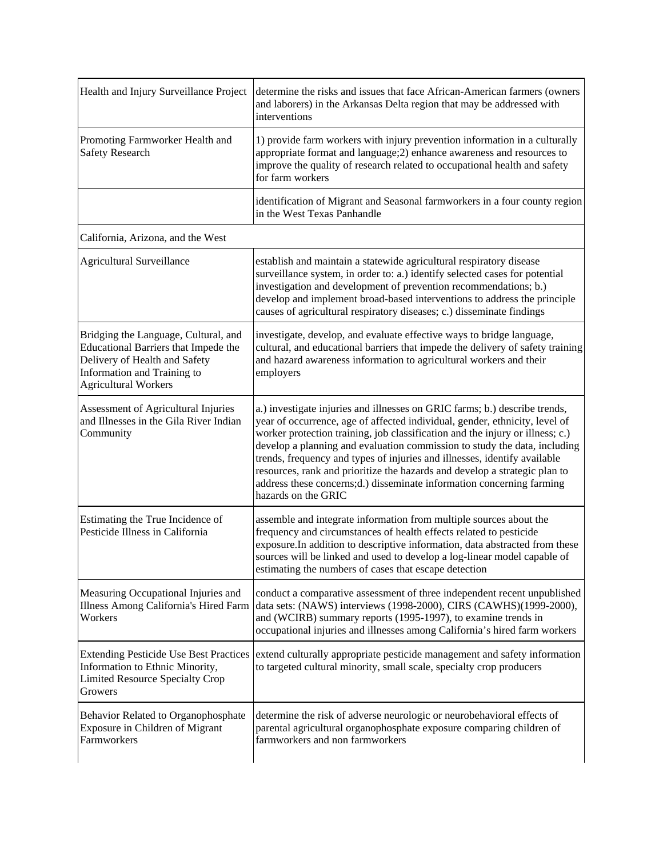| Health and Injury Surveillance Project                                                                                                                                      | determine the risks and issues that face African-American farmers (owners<br>and laborers) in the Arkansas Delta region that may be addressed with<br>interventions                                                                                                                                                                                                                                                                                                                                                                                                                |
|-----------------------------------------------------------------------------------------------------------------------------------------------------------------------------|------------------------------------------------------------------------------------------------------------------------------------------------------------------------------------------------------------------------------------------------------------------------------------------------------------------------------------------------------------------------------------------------------------------------------------------------------------------------------------------------------------------------------------------------------------------------------------|
| Promoting Farmworker Health and<br><b>Safety Research</b>                                                                                                                   | 1) provide farm workers with injury prevention information in a culturally<br>appropriate format and language; 2) enhance awareness and resources to<br>improve the quality of research related to occupational health and safety<br>for farm workers                                                                                                                                                                                                                                                                                                                              |
|                                                                                                                                                                             | identification of Migrant and Seasonal farmworkers in a four county region<br>in the West Texas Panhandle                                                                                                                                                                                                                                                                                                                                                                                                                                                                          |
| California, Arizona, and the West                                                                                                                                           |                                                                                                                                                                                                                                                                                                                                                                                                                                                                                                                                                                                    |
| Agricultural Surveillance                                                                                                                                                   | establish and maintain a statewide agricultural respiratory disease<br>surveillance system, in order to: a.) identify selected cases for potential<br>investigation and development of prevention recommendations; b.)<br>develop and implement broad-based interventions to address the principle<br>causes of agricultural respiratory diseases; c.) disseminate findings                                                                                                                                                                                                        |
| Bridging the Language, Cultural, and<br>Educational Barriers that Impede the<br>Delivery of Health and Safety<br>Information and Training to<br><b>Agricultural Workers</b> | investigate, develop, and evaluate effective ways to bridge language,<br>cultural, and educational barriers that impede the delivery of safety training<br>and hazard awareness information to agricultural workers and their<br>employers                                                                                                                                                                                                                                                                                                                                         |
| Assessment of Agricultural Injuries<br>and Illnesses in the Gila River Indian<br>Community                                                                                  | a.) investigate injuries and illnesses on GRIC farms; b.) describe trends,<br>year of occurrence, age of affected individual, gender, ethnicity, level of<br>worker protection training, job classification and the injury or illness; c.)<br>develop a planning and evaluation commission to study the data, including<br>trends, frequency and types of injuries and illnesses, identify available<br>resources, rank and prioritize the hazards and develop a strategic plan to<br>address these concerns;d.) disseminate information concerning farming<br>hazards on the GRIC |
| Estimating the True Incidence of<br>Pesticide Illness in California                                                                                                         | assemble and integrate information from multiple sources about the<br>frequency and circumstances of health effects related to pesticide<br>exposure. In addition to descriptive information, data abstracted from these<br>sources will be linked and used to develop a log-linear model capable of<br>estimating the numbers of cases that escape detection                                                                                                                                                                                                                      |
| Measuring Occupational Injuries and<br>Illness Among California's Hired Farm<br>Workers                                                                                     | conduct a comparative assessment of three independent recent unpublished<br>data sets: (NAWS) interviews (1998-2000), CIRS (CAWHS)(1999-2000),<br>and (WCIRB) summary reports (1995-1997), to examine trends in<br>occupational injuries and illnesses among California's hired farm workers                                                                                                                                                                                                                                                                                       |
| <b>Extending Pesticide Use Best Practices</b><br>Information to Ethnic Minority,<br>Limited Resource Specialty Crop<br>Growers                                              | extend culturally appropriate pesticide management and safety information<br>to targeted cultural minority, small scale, specialty crop producers                                                                                                                                                                                                                                                                                                                                                                                                                                  |
| Behavior Related to Organophosphate<br>Exposure in Children of Migrant<br>Farmworkers                                                                                       | determine the risk of adverse neurologic or neurobehavioral effects of<br>parental agricultural organophosphate exposure comparing children of<br>farmworkers and non farmworkers                                                                                                                                                                                                                                                                                                                                                                                                  |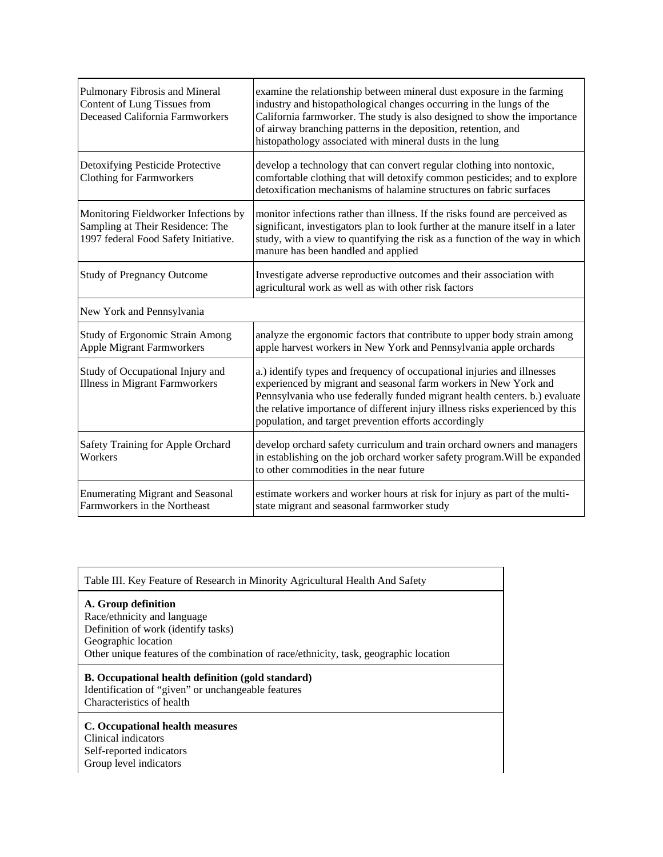| Pulmonary Fibrosis and Mineral<br>Content of Lung Tissues from<br>Deceased California Farmworkers                | examine the relationship between mineral dust exposure in the farming<br>industry and histopathological changes occurring in the lungs of the<br>California farmworker. The study is also designed to show the importance<br>of airway branching patterns in the deposition, retention, and<br>histopathology associated with mineral dusts in the lung             |
|------------------------------------------------------------------------------------------------------------------|---------------------------------------------------------------------------------------------------------------------------------------------------------------------------------------------------------------------------------------------------------------------------------------------------------------------------------------------------------------------|
| Detoxifying Pesticide Protective<br><b>Clothing for Farmworkers</b>                                              | develop a technology that can convert regular clothing into nontoxic,<br>comfortable clothing that will detoxify common pesticides; and to explore<br>detoxification mechanisms of halamine structures on fabric surfaces                                                                                                                                           |
| Monitoring Fieldworker Infections by<br>Sampling at Their Residence: The<br>1997 federal Food Safety Initiative. | monitor infections rather than illness. If the risks found are perceived as<br>significant, investigators plan to look further at the manure itself in a later<br>study, with a view to quantifying the risk as a function of the way in which<br>manure has been handled and applied                                                                               |
| <b>Study of Pregnancy Outcome</b>                                                                                | Investigate adverse reproductive outcomes and their association with<br>agricultural work as well as with other risk factors                                                                                                                                                                                                                                        |
| New York and Pennsylvania                                                                                        |                                                                                                                                                                                                                                                                                                                                                                     |
| <b>Study of Ergonomic Strain Among</b><br><b>Apple Migrant Farmworkers</b>                                       | analyze the ergonomic factors that contribute to upper body strain among<br>apple harvest workers in New York and Pennsylvania apple orchards                                                                                                                                                                                                                       |
| Study of Occupational Injury and<br><b>Illness in Migrant Farmworkers</b>                                        | a.) identify types and frequency of occupational injuries and illnesses<br>experienced by migrant and seasonal farm workers in New York and<br>Pennsylvania who use federally funded migrant health centers. b.) evaluate<br>the relative importance of different injury illness risks experienced by this<br>population, and target prevention efforts accordingly |
| Safety Training for Apple Orchard<br>Workers                                                                     | develop orchard safety curriculum and train orchard owners and managers<br>in establishing on the job orchard worker safety program. Will be expanded<br>to other commodities in the near future                                                                                                                                                                    |
| <b>Enumerating Migrant and Seasonal</b><br>Farmworkers in the Northeast                                          | estimate workers and worker hours at risk for injury as part of the multi-<br>state migrant and seasonal farmworker study                                                                                                                                                                                                                                           |

Table III. Key Feature of Research in Minority Agricultural Health And Safety

### **A. Group definition**

Race/ethnicity and language Definition of work (identify tasks) Geographic location Other unique features of the combination of race/ethnicity, task, geographic location

## **B. Occupational health definition (gold standard)**

Identification of "given" or unchangeable features Characteristics of health

#### **C. Occupational health measures**

Clinical indicators Self-reported indicators Group level indicators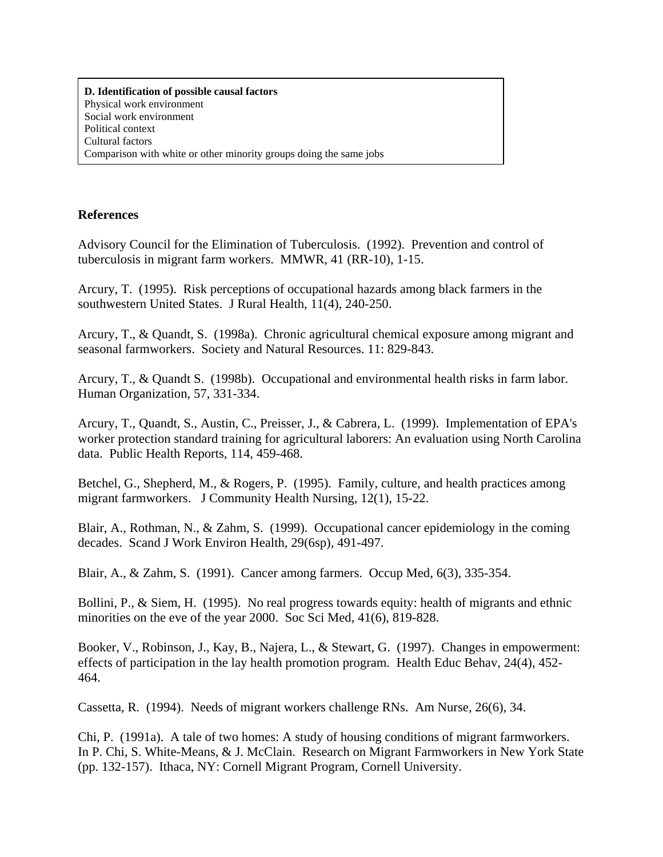**D. Identification of possible causal factors** Physical work environment Social work environment Political context Cultural factors Comparison with white or other minority groups doing the same jobs

## **References**

Advisory Council for the Elimination of Tuberculosis. (1992). Prevention and control of tuberculosis in migrant farm workers. MMWR, 41 (RR-10), 1-15.

Arcury, T. (1995). Risk perceptions of occupational hazards among black farmers in the southwestern United States. J Rural Health, 11(4), 240-250.

Arcury, T., & Quandt, S. (1998a). Chronic agricultural chemical exposure among migrant and seasonal farmworkers. Society and Natural Resources. 11: 829-843.

Arcury, T., & Quandt S. (1998b). Occupational and environmental health risks in farm labor. Human Organization, 57, 331-334.

Arcury, T., Quandt, S., Austin, C., Preisser, J., & Cabrera, L. (1999). Implementation of EPA's worker protection standard training for agricultural laborers: An evaluation using North Carolina data. Public Health Reports, 114, 459-468.

Betchel, G., Shepherd, M., & Rogers, P. (1995). Family, culture, and health practices among migrant farmworkers. J Community Health Nursing, 12(1), 15-22.

Blair, A., Rothman, N., & Zahm, S. (1999). Occupational cancer epidemiology in the coming decades. Scand J Work Environ Health, 29(6sp), 491-497.

Blair, A., & Zahm, S. (1991). Cancer among farmers. Occup Med, 6(3), 335-354.

Bollini, P., & Siem, H. (1995). No real progress towards equity: health of migrants and ethnic minorities on the eve of the year 2000. Soc Sci Med, 41(6), 819-828.

Booker, V., Robinson, J., Kay, B., Najera, L., & Stewart, G. (1997). Changes in empowerment: effects of participation in the lay health promotion program. Health Educ Behav, 24(4), 452- 464.

Cassetta, R. (1994). Needs of migrant workers challenge RNs. Am Nurse, 26(6), 34.

Chi, P. (1991a). A tale of two homes: A study of housing conditions of migrant farmworkers. In P. Chi, S. White-Means, & J. McClain. Research on Migrant Farmworkers in New York State (pp. 132-157). Ithaca, NY: Cornell Migrant Program, Cornell University.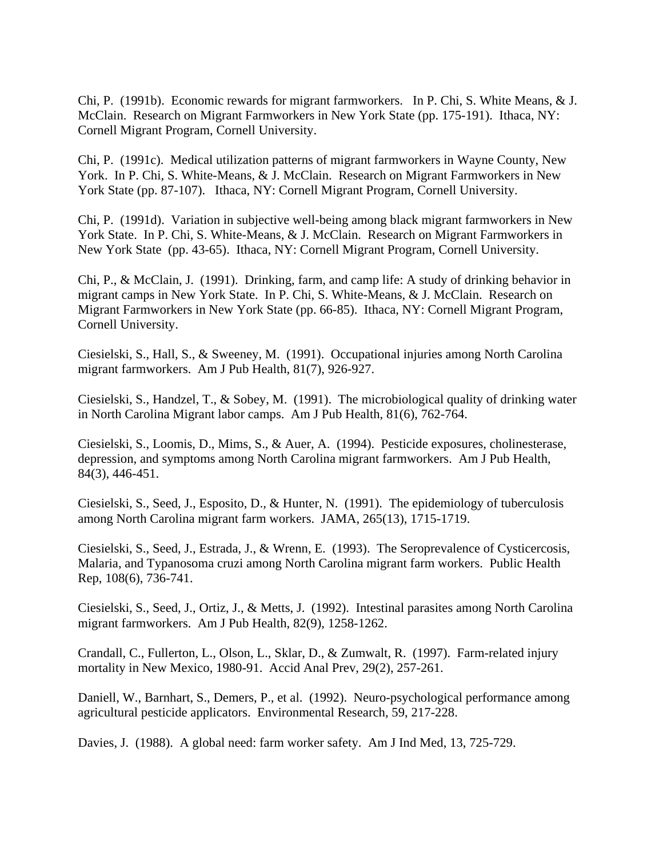Chi, P. (1991b). Economic rewards for migrant farmworkers. In P. Chi, S. White Means, & J. McClain. Research on Migrant Farmworkers in New York State (pp. 175-191). Ithaca, NY: Cornell Migrant Program, Cornell University.

Chi, P. (1991c). Medical utilization patterns of migrant farmworkers in Wayne County, New York. In P. Chi, S. White-Means, & J. McClain. Research on Migrant Farmworkers in New York State (pp. 87-107). Ithaca, NY: Cornell Migrant Program, Cornell University.

Chi, P. (1991d). Variation in subjective well-being among black migrant farmworkers in New York State. In P. Chi, S. White-Means, & J. McClain. Research on Migrant Farmworkers in New York State (pp. 43-65). Ithaca, NY: Cornell Migrant Program, Cornell University.

Chi, P., & McClain, J. (1991). Drinking, farm, and camp life: A study of drinking behavior in migrant camps in New York State. In P. Chi, S. White-Means, & J. McClain. Research on Migrant Farmworkers in New York State (pp. 66-85). Ithaca, NY: Cornell Migrant Program, Cornell University.

Ciesielski, S., Hall, S., & Sweeney, M. (1991). Occupational injuries among North Carolina migrant farmworkers. Am J Pub Health, 81(7), 926-927.

Ciesielski, S., Handzel, T., & Sobey, M. (1991). The microbiological quality of drinking water in North Carolina Migrant labor camps. Am J Pub Health, 81(6), 762-764.

Ciesielski, S., Loomis, D., Mims, S., & Auer, A. (1994). Pesticide exposures, cholinesterase, depression, and symptoms among North Carolina migrant farmworkers. Am J Pub Health, 84(3), 446-451.

Ciesielski, S., Seed, J., Esposito, D., & Hunter, N. (1991). The epidemiology of tuberculosis among North Carolina migrant farm workers. JAMA, 265(13), 1715-1719.

Ciesielski, S., Seed, J., Estrada, J., & Wrenn, E. (1993). The Seroprevalence of Cysticercosis, Malaria, and Typanosoma cruzi among North Carolina migrant farm workers. Public Health Rep, 108(6), 736-741.

Ciesielski, S., Seed, J., Ortiz, J., & Metts, J. (1992). Intestinal parasites among North Carolina migrant farmworkers. Am J Pub Health, 82(9), 1258-1262.

Crandall, C., Fullerton, L., Olson, L., Sklar, D., & Zumwalt, R. (1997). Farm-related injury mortality in New Mexico, 1980-91. Accid Anal Prev, 29(2), 257-261.

Daniell, W., Barnhart, S., Demers, P., et al. (1992). Neuro-psychological performance among agricultural pesticide applicators. Environmental Research, 59, 217-228.

Davies, J. (1988). A global need: farm worker safety. Am J Ind Med, 13, 725-729.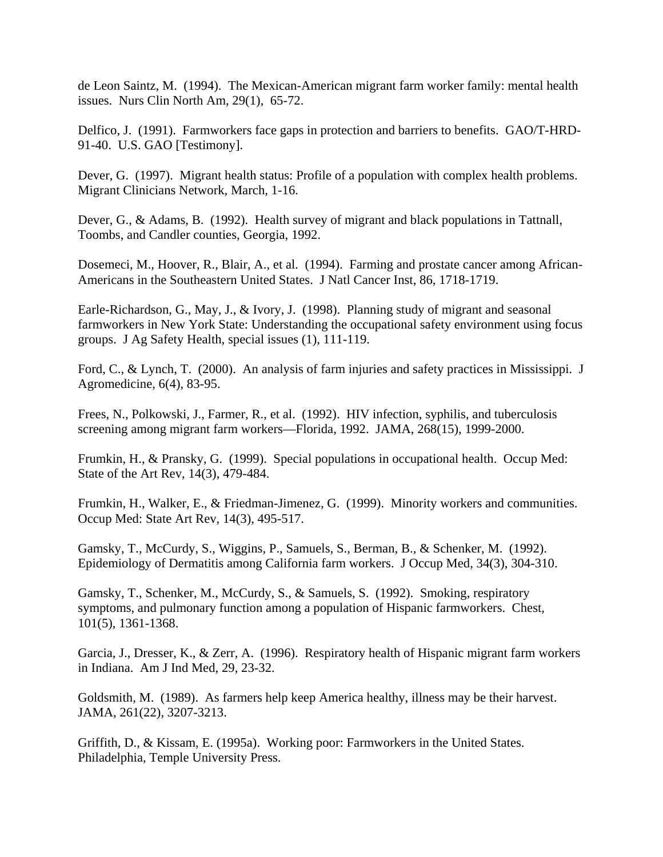de Leon Saintz, M. (1994). The Mexican-American migrant farm worker family: mental health issues. Nurs Clin North Am, 29(1), 65-72.

Delfico, J. (1991). Farmworkers face gaps in protection and barriers to benefits. GAO/T-HRD-91-40. U.S. GAO [Testimony].

Dever, G. (1997). Migrant health status: Profile of a population with complex health problems. Migrant Clinicians Network, March, 1-16.

Dever, G., & Adams, B. (1992). Health survey of migrant and black populations in Tattnall, Toombs, and Candler counties, Georgia, 1992.

Dosemeci, M., Hoover, R., Blair, A., et al. (1994). Farming and prostate cancer among African-Americans in the Southeastern United States. J Natl Cancer Inst, 86, 1718-1719.

Earle-Richardson, G., May, J., & Ivory, J. (1998). Planning study of migrant and seasonal farmworkers in New York State: Understanding the occupational safety environment using focus groups. J Ag Safety Health, special issues (1), 111-119.

Ford, C., & Lynch, T. (2000). An analysis of farm injuries and safety practices in Mississippi. J Agromedicine, 6(4), 83-95.

Frees, N., Polkowski, J., Farmer, R., et al. (1992). HIV infection, syphilis, and tuberculosis screening among migrant farm workers—Florida, 1992. JAMA, 268(15), 1999-2000.

Frumkin, H., & Pransky, G. (1999). Special populations in occupational health. Occup Med: State of the Art Rev, 14(3), 479-484.

Frumkin, H., Walker, E., & Friedman-Jimenez, G. (1999). Minority workers and communities. Occup Med: State Art Rev, 14(3), 495-517.

Gamsky, T., McCurdy, S., Wiggins, P., Samuels, S., Berman, B., & Schenker, M. (1992). Epidemiology of Dermatitis among California farm workers. J Occup Med, 34(3), 304-310.

Gamsky, T., Schenker, M., McCurdy, S., & Samuels, S. (1992). Smoking, respiratory symptoms, and pulmonary function among a population of Hispanic farmworkers. Chest, 101(5), 1361-1368.

Garcia, J., Dresser, K., & Zerr, A. (1996). Respiratory health of Hispanic migrant farm workers in Indiana. Am J Ind Med, 29, 23-32.

Goldsmith, M. (1989). As farmers help keep America healthy, illness may be their harvest. JAMA, 261(22), 3207-3213.

Griffith, D., & Kissam, E. (1995a). Working poor: Farmworkers in the United States. Philadelphia, Temple University Press.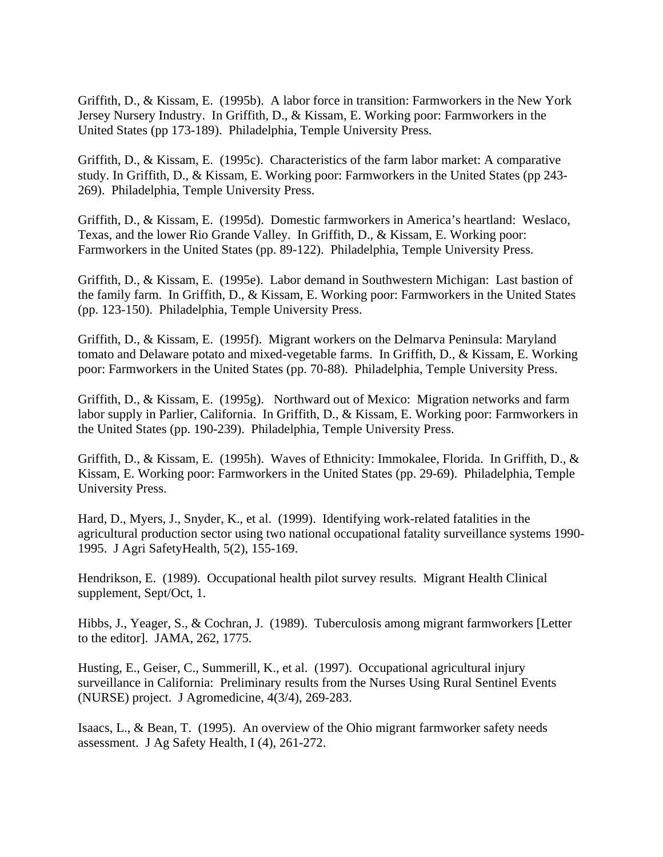Griffith, D., & Kissam, E. (1995b). A labor force in transition: Farmworkers in the New York Jersey Nursery Industry. In Griffith, D., & Kissam, E. Working poor: Farmworkers in the United States (pp 173-189). Philadelphia, Temple University Press.

Griffith, D., & Kissam, E. (1995c). Characteristics of the farm labor market: A comparative study. In Griffith, D., & Kissam, E. Working poor: Farmworkers in the United States (pp 243- 269). Philadelphia, Temple University Press.

Griffith, D., & Kissam, E. (1995d). Domestic farmworkers in America's heartland: Weslaco, Texas, and the lower Rio Grande Valley. In Griffith, D., & Kissam, E. Working poor: Farmworkers in the United States (pp. 89-122). Philadelphia, Temple University Press.

Griffith, D., & Kissam, E. (1995e). Labor demand in Southwestern Michigan: Last bastion of the family farm. In Griffith, D., & Kissam, E. Working poor: Farmworkers in the United States (pp. 123-150). Philadelphia, Temple University Press.

Griffith, D., & Kissam, E. (1995f). Migrant workers on the Delmarva Peninsula: Maryland tomato and Delaware potato and mixed-vegetable farms. In Griffith, D., & Kissam, E. Working poor: Farmworkers in the United States (pp. 70-88). Philadelphia, Temple University Press.

Griffith, D., & Kissam, E. (1995g). Northward out of Mexico: Migration networks and farm labor supply in Parlier, California. In Griffith, D., & Kissam, E. Working poor: Farmworkers in the United States (pp. 190-239). Philadelphia, Temple University Press.

Griffith, D., & Kissam, E. (1995h). Waves of Ethnicity: Immokalee, Florida. In Griffith, D., & Kissam, E. Working poor: Farmworkers in the United States (pp. 29-69). Philadelphia, Temple University Press.

Hard, D., Myers, J., Snyder, K., et al. (1999). Identifying work-related fatalities in the agricultural production sector using two national occupational fatality surveillance systems 1990- 1995. J Agri SafetyHealth, 5(2), 155-169.

Hendrikson, E. (1989). Occupational health pilot survey results. Migrant Health Clinical supplement, Sept/Oct, 1.

Hibbs, J., Yeager, S., & Cochran, J. (1989). Tuberculosis among migrant farmworkers [Letter to the editor]. JAMA, 262, 1775.

Husting, E., Geiser, C., Summerill, K., et al. (1997). Occupational agricultural injury surveillance in California: Preliminary results from the Nurses Using Rural Sentinel Events (NURSE) project. J Agromedicine, 4(3/4), 269-283.

Isaacs, L., & Bean, T. (1995). An overview of the Ohio migrant farmworker safety needs assessment. J Ag Safety Health, I (4), 261-272.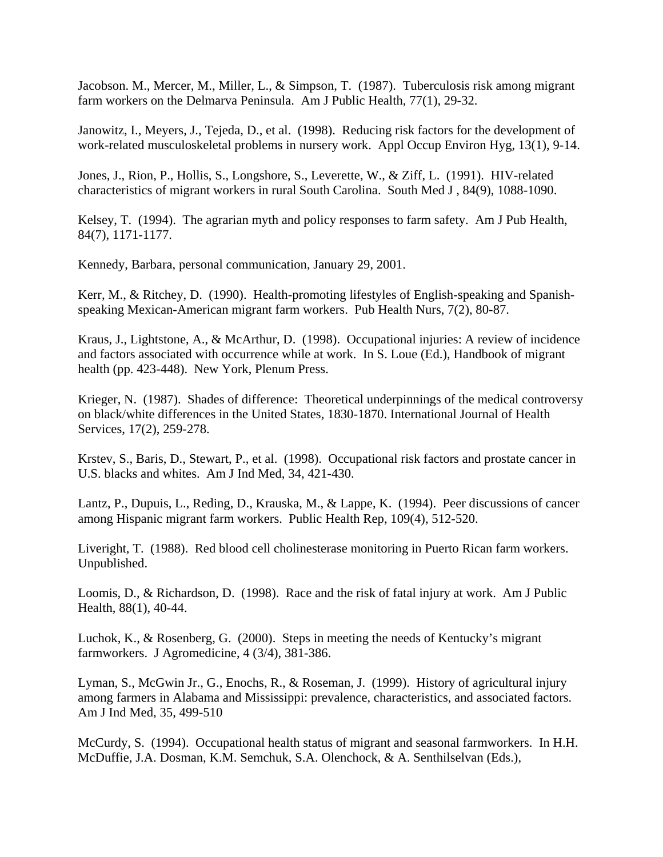Jacobson. M., Mercer, M., Miller, L., & Simpson, T. (1987). Tuberculosis risk among migrant farm workers on the Delmarva Peninsula. Am J Public Health, 77(1), 29-32.

Janowitz, I., Meyers, J., Tejeda, D., et al. (1998). Reducing risk factors for the development of work-related musculoskeletal problems in nursery work. Appl Occup Environ Hyg, 13(1), 9-14.

Jones, J., Rion, P., Hollis, S., Longshore, S., Leverette, W., & Ziff, L. (1991). HIV-related characteristics of migrant workers in rural South Carolina. South Med J , 84(9), 1088-1090.

Kelsey, T. (1994). The agrarian myth and policy responses to farm safety. Am J Pub Health, 84(7), 1171-1177.

Kennedy, Barbara, personal communication, January 29, 2001.

Kerr, M., & Ritchey, D. (1990). Health-promoting lifestyles of English-speaking and Spanishspeaking Mexican-American migrant farm workers. Pub Health Nurs, 7(2), 80-87.

Kraus, J., Lightstone, A., & McArthur, D. (1998). Occupational injuries: A review of incidence and factors associated with occurrence while at work. In S. Loue (Ed.), Handbook of migrant health (pp. 423-448). New York, Plenum Press.

Krieger, N. (1987). Shades of difference: Theoretical underpinnings of the medical controversy on black/white differences in the United States, 1830-1870. International Journal of Health Services, 17(2), 259-278.

Krstev, S., Baris, D., Stewart, P., et al. (1998). Occupational risk factors and prostate cancer in U.S. blacks and whites. Am J Ind Med, 34, 421-430.

Lantz, P., Dupuis, L., Reding, D., Krauska, M., & Lappe, K. (1994). Peer discussions of cancer among Hispanic migrant farm workers. Public Health Rep, 109(4), 512-520.

Liveright, T. (1988). Red blood cell cholinesterase monitoring in Puerto Rican farm workers. Unpublished.

Loomis, D., & Richardson, D. (1998). Race and the risk of fatal injury at work. Am J Public Health, 88(1), 40-44.

Luchok, K., & Rosenberg, G. (2000). Steps in meeting the needs of Kentucky's migrant farmworkers. J Agromedicine, 4 (3/4), 381-386.

Lyman, S., McGwin Jr., G., Enochs, R., & Roseman, J. (1999). History of agricultural injury among farmers in Alabama and Mississippi: prevalence, characteristics, and associated factors. Am J Ind Med, 35, 499-510

McCurdy, S. (1994). Occupational health status of migrant and seasonal farmworkers. In H.H. McDuffie, J.A. Dosman, K.M. Semchuk, S.A. Olenchock, & A. Senthilselvan (Eds.),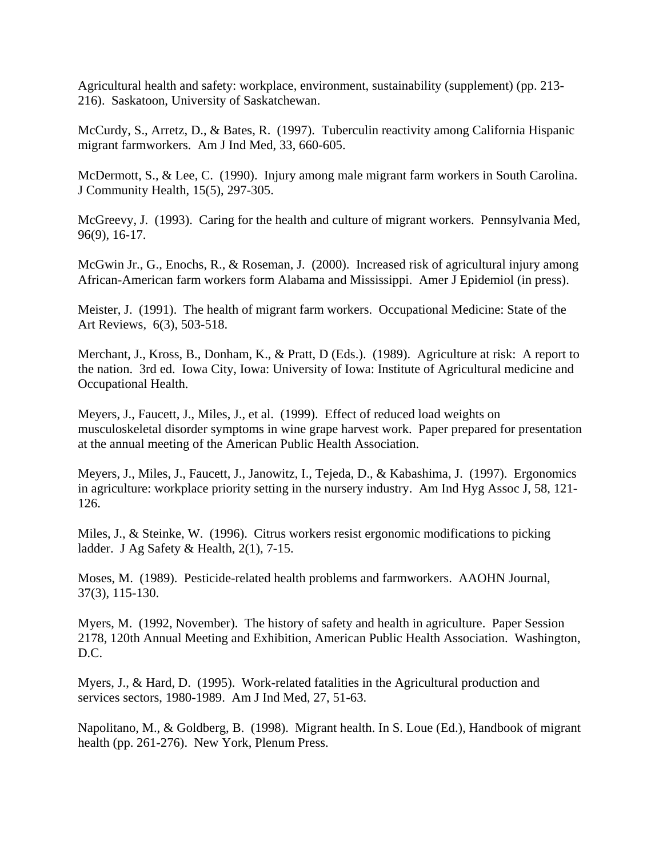Agricultural health and safety: workplace, environment, sustainability (supplement) (pp. 213- 216). Saskatoon, University of Saskatchewan.

McCurdy, S., Arretz, D., & Bates, R. (1997). Tuberculin reactivity among California Hispanic migrant farmworkers. Am J Ind Med, 33, 660-605.

McDermott, S., & Lee, C. (1990). Injury among male migrant farm workers in South Carolina. J Community Health, 15(5), 297-305.

McGreevy, J. (1993). Caring for the health and culture of migrant workers. Pennsylvania Med, 96(9), 16-17.

McGwin Jr., G., Enochs, R., & Roseman, J. (2000). Increased risk of agricultural injury among African-American farm workers form Alabama and Mississippi. Amer J Epidemiol (in press).

Meister, J. (1991). The health of migrant farm workers. Occupational Medicine: State of the Art Reviews, 6(3), 503-518.

Merchant, J., Kross, B., Donham, K., & Pratt, D (Eds.). (1989). Agriculture at risk: A report to the nation. 3rd ed. Iowa City, Iowa: University of Iowa: Institute of Agricultural medicine and Occupational Health.

Meyers, J., Faucett, J., Miles, J., et al. (1999). Effect of reduced load weights on musculoskeletal disorder symptoms in wine grape harvest work. Paper prepared for presentation at the annual meeting of the American Public Health Association.

Meyers, J., Miles, J., Faucett, J., Janowitz, I., Tejeda, D., & Kabashima, J. (1997). Ergonomics in agriculture: workplace priority setting in the nursery industry. Am Ind Hyg Assoc J, 58, 121- 126.

Miles, J., & Steinke, W. (1996). Citrus workers resist ergonomic modifications to picking ladder. J Ag Safety & Health, 2(1), 7-15.

Moses, M. (1989). Pesticide-related health problems and farmworkers. AAOHN Journal, 37(3), 115-130.

Myers, M. (1992, November). The history of safety and health in agriculture. Paper Session 2178, 120th Annual Meeting and Exhibition, American Public Health Association. Washington, D.C.

Myers, J., & Hard, D. (1995). Work-related fatalities in the Agricultural production and services sectors, 1980-1989. Am J Ind Med, 27, 51-63.

Napolitano, M., & Goldberg, B. (1998). Migrant health. In S. Loue (Ed.), Handbook of migrant health (pp. 261-276). New York, Plenum Press.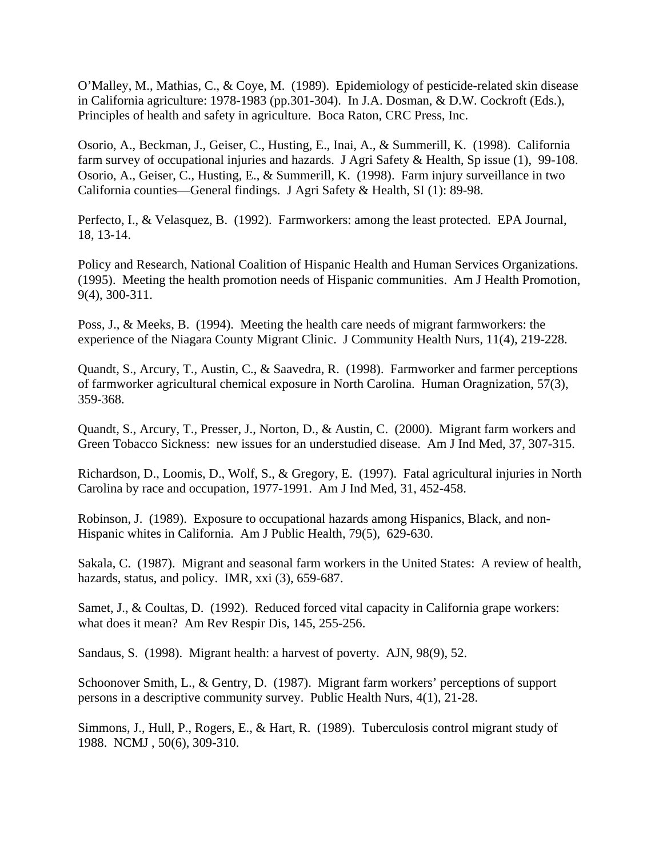O'Malley, M., Mathias, C., & Coye, M. (1989). Epidemiology of pesticide-related skin disease in California agriculture: 1978-1983 (pp.301-304). In J.A. Dosman, & D.W. Cockroft (Eds.), Principles of health and safety in agriculture. Boca Raton, CRC Press, Inc.

Osorio, A., Beckman, J., Geiser, C., Husting, E., Inai, A., & Summerill, K. (1998). California farm survey of occupational injuries and hazards. J Agri Safety & Health, Sp issue (1), 99-108. Osorio, A., Geiser, C., Husting, E., & Summerill, K. (1998). Farm injury surveillance in two California counties—General findings. J Agri Safety & Health, SI (1): 89-98.

Perfecto, I., & Velasquez, B. (1992). Farmworkers: among the least protected. EPA Journal, 18, 13-14.

Policy and Research, National Coalition of Hispanic Health and Human Services Organizations. (1995). Meeting the health promotion needs of Hispanic communities. Am J Health Promotion, 9(4), 300-311.

Poss, J., & Meeks, B. (1994). Meeting the health care needs of migrant farmworkers: the experience of the Niagara County Migrant Clinic. J Community Health Nurs, 11(4), 219-228.

Quandt, S., Arcury, T., Austin, C., & Saavedra, R. (1998). Farmworker and farmer perceptions of farmworker agricultural chemical exposure in North Carolina. Human Oragnization, 57(3), 359-368.

Quandt, S., Arcury, T., Presser, J., Norton, D., & Austin, C. (2000). Migrant farm workers and Green Tobacco Sickness: new issues for an understudied disease. Am J Ind Med, 37, 307-315.

Richardson, D., Loomis, D., Wolf, S., & Gregory, E. (1997). Fatal agricultural injuries in North Carolina by race and occupation, 1977-1991. Am J Ind Med, 31, 452-458.

Robinson, J. (1989). Exposure to occupational hazards among Hispanics, Black, and non-Hispanic whites in California. Am J Public Health, 79(5), 629-630.

Sakala, C. (1987). Migrant and seasonal farm workers in the United States: A review of health, hazards, status, and policy. IMR, xxi (3), 659-687.

Samet, J., & Coultas, D. (1992). Reduced forced vital capacity in California grape workers: what does it mean? Am Rev Respir Dis, 145, 255-256.

Sandaus, S. (1998). Migrant health: a harvest of poverty. AJN, 98(9), 52.

Schoonover Smith, L., & Gentry, D. (1987). Migrant farm workers' perceptions of support persons in a descriptive community survey. Public Health Nurs, 4(1), 21-28.

Simmons, J., Hull, P., Rogers, E., & Hart, R. (1989). Tuberculosis control migrant study of 1988. NCMJ , 50(6), 309-310.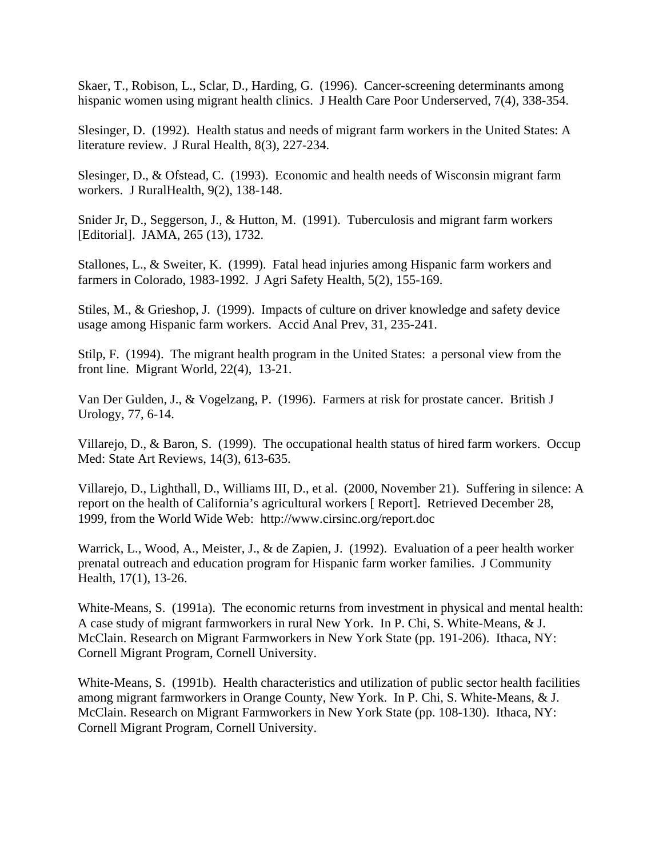Skaer, T., Robison, L., Sclar, D., Harding, G. (1996). Cancer-screening determinants among hispanic women using migrant health clinics. J Health Care Poor Underserved, 7(4), 338-354.

Slesinger, D. (1992). Health status and needs of migrant farm workers in the United States: A literature review. J Rural Health, 8(3), 227-234.

Slesinger, D., & Ofstead, C. (1993). Economic and health needs of Wisconsin migrant farm workers. J RuralHealth, 9(2), 138-148.

Snider Jr, D., Seggerson, J., & Hutton, M. (1991). Tuberculosis and migrant farm workers [Editorial]. JAMA, 265 (13), 1732.

Stallones, L., & Sweiter, K. (1999). Fatal head injuries among Hispanic farm workers and farmers in Colorado, 1983-1992. J Agri Safety Health, 5(2), 155-169.

Stiles, M., & Grieshop, J. (1999). Impacts of culture on driver knowledge and safety device usage among Hispanic farm workers. Accid Anal Prev, 31, 235-241.

Stilp, F. (1994). The migrant health program in the United States: a personal view from the front line. Migrant World, 22(4), 13-21.

Van Der Gulden, J., & Vogelzang, P. (1996). Farmers at risk for prostate cancer. British J Urology, 77, 6-14.

Villarejo, D., & Baron, S. (1999). The occupational health status of hired farm workers. Occup Med: State Art Reviews, 14(3), 613-635.

Villarejo, D., Lighthall, D., Williams III, D., et al. (2000, November 21). Suffering in silence: A report on the health of California's agricultural workers [ Report]. Retrieved December 28, 1999, from the World Wide Web: http://www.cirsinc.org/report.doc

Warrick, L., Wood, A., Meister, J., & de Zapien, J. (1992). Evaluation of a peer health worker prenatal outreach and education program for Hispanic farm worker families. J Community Health, 17(1), 13-26.

White-Means, S. (1991a). The economic returns from investment in physical and mental health: A case study of migrant farmworkers in rural New York. In P. Chi, S. White-Means, & J. McClain. Research on Migrant Farmworkers in New York State (pp. 191-206). Ithaca, NY: Cornell Migrant Program, Cornell University.

White-Means, S. (1991b). Health characteristics and utilization of public sector health facilities among migrant farmworkers in Orange County, New York. In P. Chi, S. White-Means, & J. McClain. Research on Migrant Farmworkers in New York State (pp. 108-130). Ithaca, NY: Cornell Migrant Program, Cornell University.